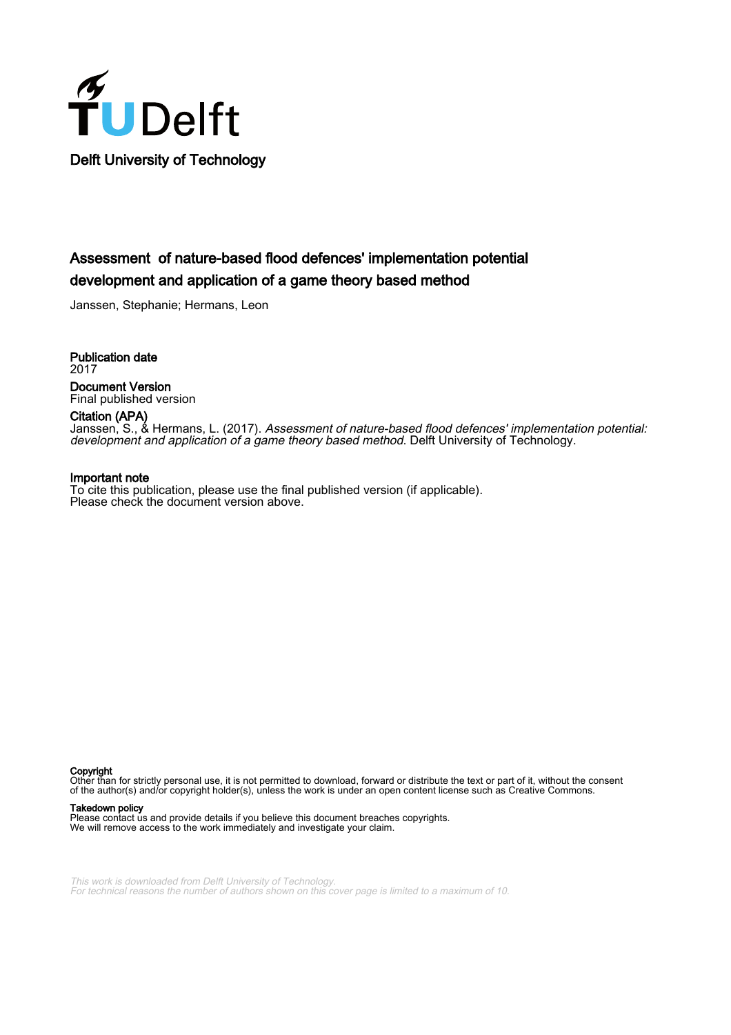

# Assessment of nature-based flood defences' implementation potential development and application of a game theory based method

Janssen, Stephanie; Hermans, Leon

Publication date 2017 Document Version Final published version

Citation (APA) Janssen, S., & Hermans, L. (2017). Assessment of nature-based flood defences' implementation potential:

#### Important note

To cite this publication, please use the final published version (if applicable). Please check the document version above.

development and application of a game theory based method. Delft University of Technology.

Copyright

Other than for strictly personal use, it is not permitted to download, forward or distribute the text or part of it, without the consent of the author(s) and/or copyright holder(s), unless the work is under an open content license such as Creative Commons.

#### Takedown policy

Please contact us and provide details if you believe this document breaches copyrights. We will remove access to the work immediately and investigate your claim.

This work is downloaded from Delft University of Technology. For technical reasons the number of authors shown on this cover page is limited to a maximum of 10.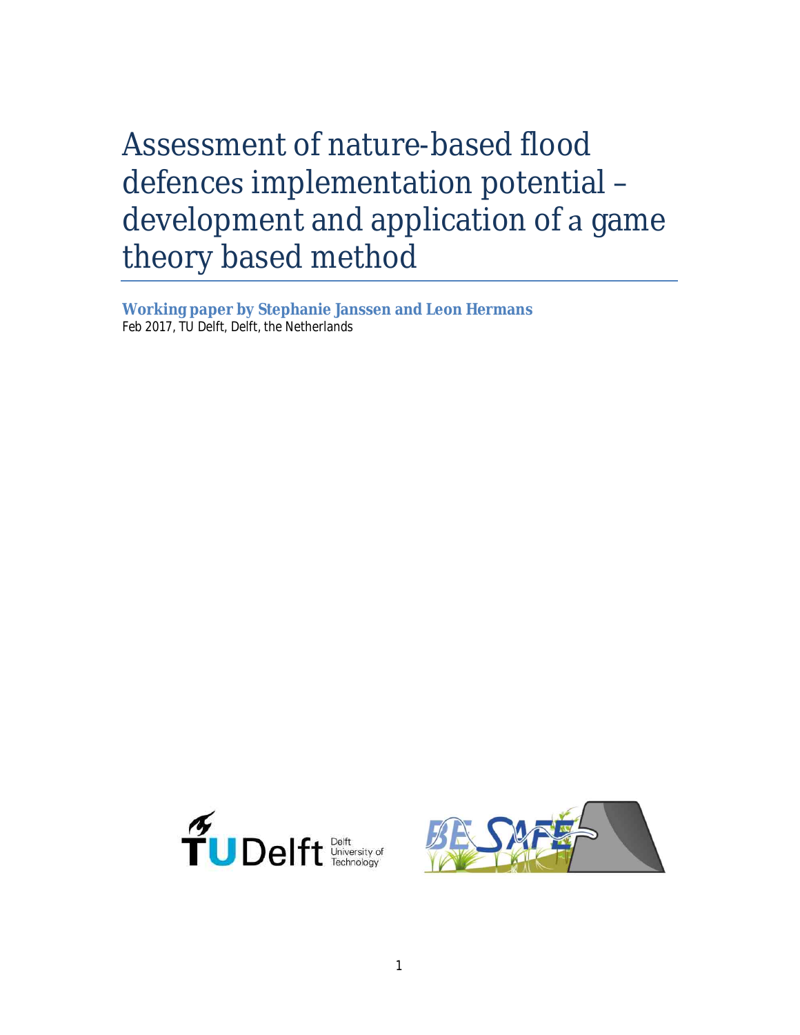Assessment of nature-based flood defences implementation potential development and application of a game theory based method

**Working paper by Stephanie Janssen and Leon Hermans** Feb 2017, TU Delft, Delft, the Netherlands



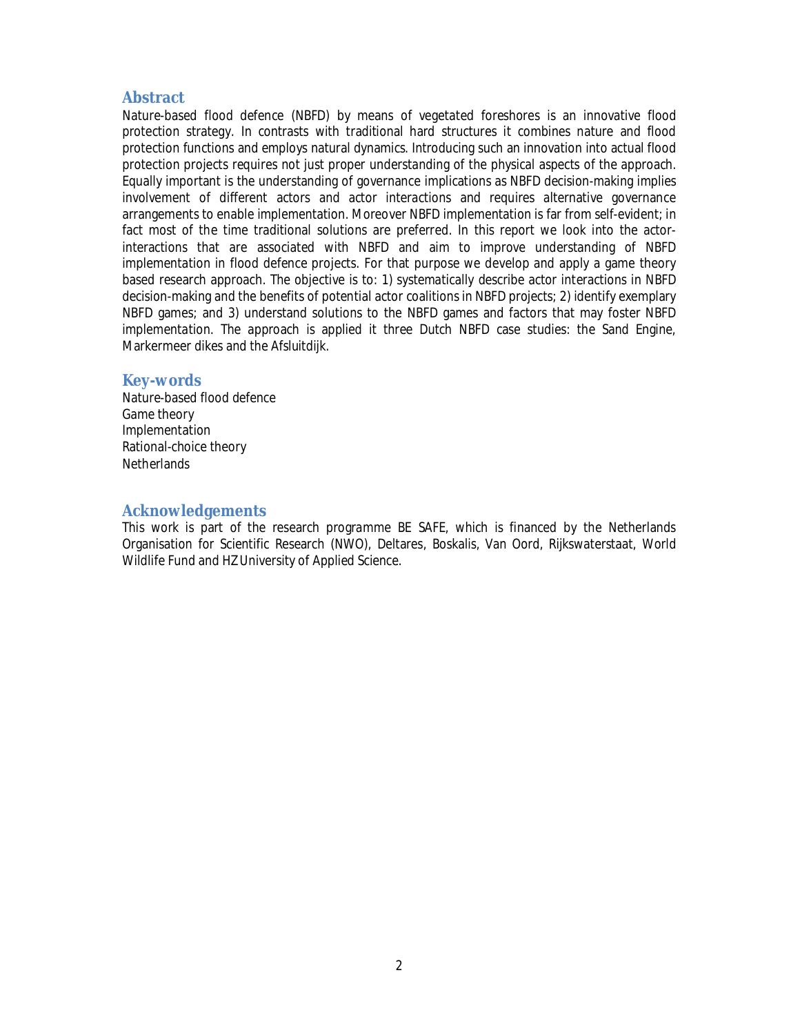### **Abstract**

Nature-based flood defence (NBFD) by means of vegetated foreshores is an innovative flood protection strategy. In contrasts with traditional hard structures it combines nature and flood protection functions and employs natural dynamics. Introducing such an innovation into actual flood protection projects requires not just proper understanding of the physical aspects of the approach. Equally important is the understanding of governance implications as NBFD decision-making implies involvement of different actors and actor interactions and requires alternative governance arrangements to enable implementation. Moreover NBFD implementation is far from self-evident; in fact most of the time traditional solutions are preferred. In this report we look into the actorinteractions that are associated with NBFD and aim to improve understanding of NBFD implementation in flood defence projects. For that purpose we develop and apply a game theory based research approach. The objective is to: 1) systematically describe actor interactions in NBFD decision-making and the benefits of potential actor coalitions in NBFD projects; 2) identify exemplary NBFD games; and 3) understand solutions to the NBFD games and factors that may foster NBFD implementation. The approach is applied it three Dutch NBFD case studies: the Sand Engine, Markermeer dikes and the Afsluitdijk.

#### **Key-words**

Nature-based flood defence Game theory Implementation Rational-choice theory **Netherlands** 

#### **Acknowledgements**

This work is part of the research programme BE SAFE, which is financed by the Netherlands Organisation for Scientific Research (NWO), Deltares, Boskalis, Van Oord, Rijkswaterstaat, World Wildlife Fund and HZ University of Applied Science.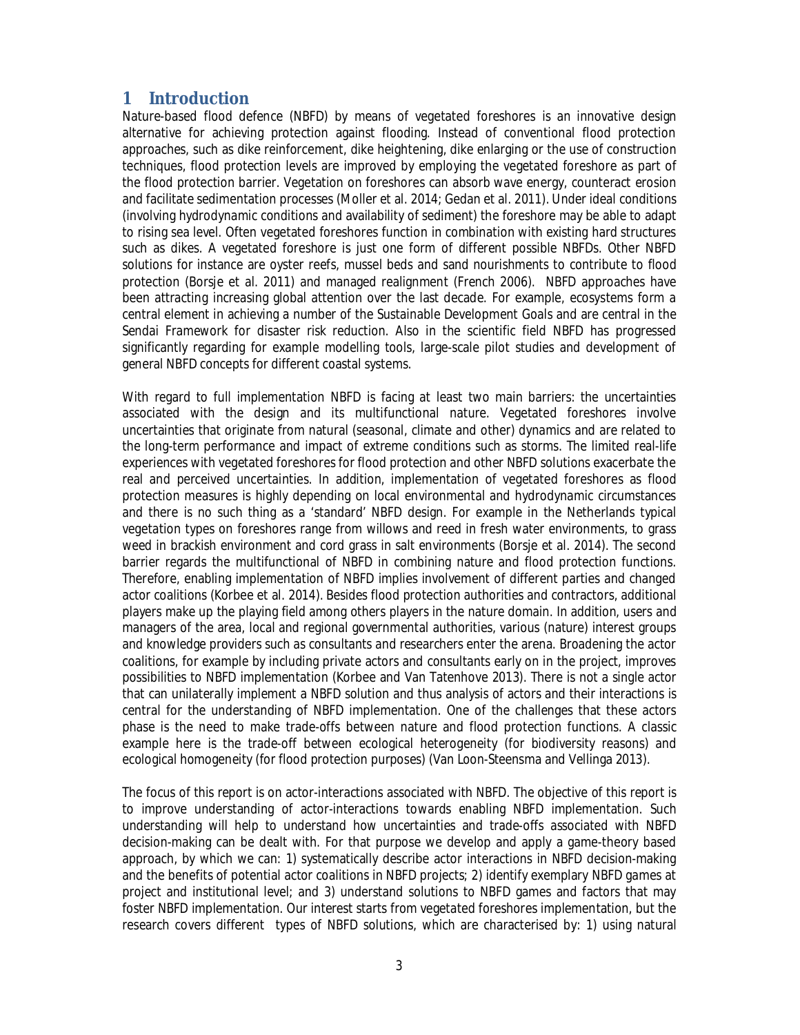## **1 Introduction**

Nature-based flood defence (NBFD) by means of vegetated foreshores is an innovative design alternative for achieving protection against flooding. Instead of conventional flood protection approaches, such as dike reinforcement, dike heightening, dike enlarging or the use of construction techniques, flood protection levels are improved by employing the vegetated foreshore as part of the flood protection barrier. Vegetation on foreshores can absorb wave energy, counteract erosion and facilitate sedimentation processes (Moller et al. 2014; Gedan et al. 2011). Under ideal conditions (involving hydrodynamic conditions and availability of sediment) the foreshore may be able to adapt to rising sea level. Often vegetated foreshores function in combination with existing hard structures such as dikes. A vegetated foreshore is just one form of different possible NBFDs. Other NBFD solutions for instance are oyster reefs, mussel beds and sand nourishments to contribute to flood protection (Borsje et al. 2011) and managed realignment (French 2006). NBFD approaches have been attracting increasing global attention over the last decade. For example, ecosystems form a central element in achieving a number of the Sustainable Development Goals and are central in the Sendai Framework for disaster risk reduction. Also in the scientific field NBFD has progressed significantly regarding for example modelling tools, large-scale pilot studies and development of general NBFD concepts for different coastal systems.

With regard to full implementation NBFD is facing at least two main barriers: the uncertainties associated with the design and its multifunctional nature. Vegetated foreshores involve uncertainties that originate from natural (seasonal, climate and other) dynamics and are related to the long-term performance and impact of extreme conditions such as storms. The limited real-life experiences with vegetated foreshores for flood protection and other NBFD solutions exacerbate the real and perceived uncertainties. In addition, implementation of vegetated foreshores as flood protection measures is highly depending on local environmental and hydrodynamic circumstances and there is no such thing as a 'standard' NBFD design. For example in the Netherlands typical vegetation types on foreshores range from willows and reed in fresh water environments, to grass weed in brackish environment and cord grass in salt environments (Borsje et al. 2014). The second barrier regards the multifunctional of NBFD in combining nature and flood protection functions. Therefore, enabling implementation of NBFD implies involvement of different parties and changed actor coalitions (Korbee et al. 2014). Besides flood protection authorities and contractors, additional players make up the playing field among others players in the nature domain. In addition, users and managers of the area, local and regional governmental authorities, various (nature) interest groups and knowledge providers such as consultants and researchers enter the arena. Broadening the actor coalitions, for example by including private actors and consultants early on in the project, improves possibilities to NBFD implementation (Korbee and Van Tatenhove 2013). There is not a single actor that can unilaterally implement a NBFD solution and thus analysis of actors and their interactions is central for the understanding of NBFD implementation. One of the challenges that these actors phase is the need to make trade-offs between nature and flood protection functions. A classic example here is the trade-off between ecological heterogeneity (for biodiversity reasons) and ecological homogeneity (for flood protection purposes) (Van Loon-Steensma and Vellinga 2013).

The focus of this report is on actor-interactions associated with NBFD. The objective of this report is to improve understanding of actor-interactions towards enabling NBFD implementation. Such understanding will help to understand how uncertainties and trade-offs associated with NBFD decision-making can be dealt with. For that purpose we develop and apply a game-theory based approach, by which we can: 1) systematically describe actor interactions in NBFD decision-making and the benefits of potential actor coalitions in NBFD projects; 2) identify exemplary NBFD games at project and institutional level; and 3) understand solutions to NBFD games and factors that may foster NBFD implementation. Our interest starts from vegetated foreshores implementation, but the research covers different types of NBFD solutions, which are characterised by: 1) using natural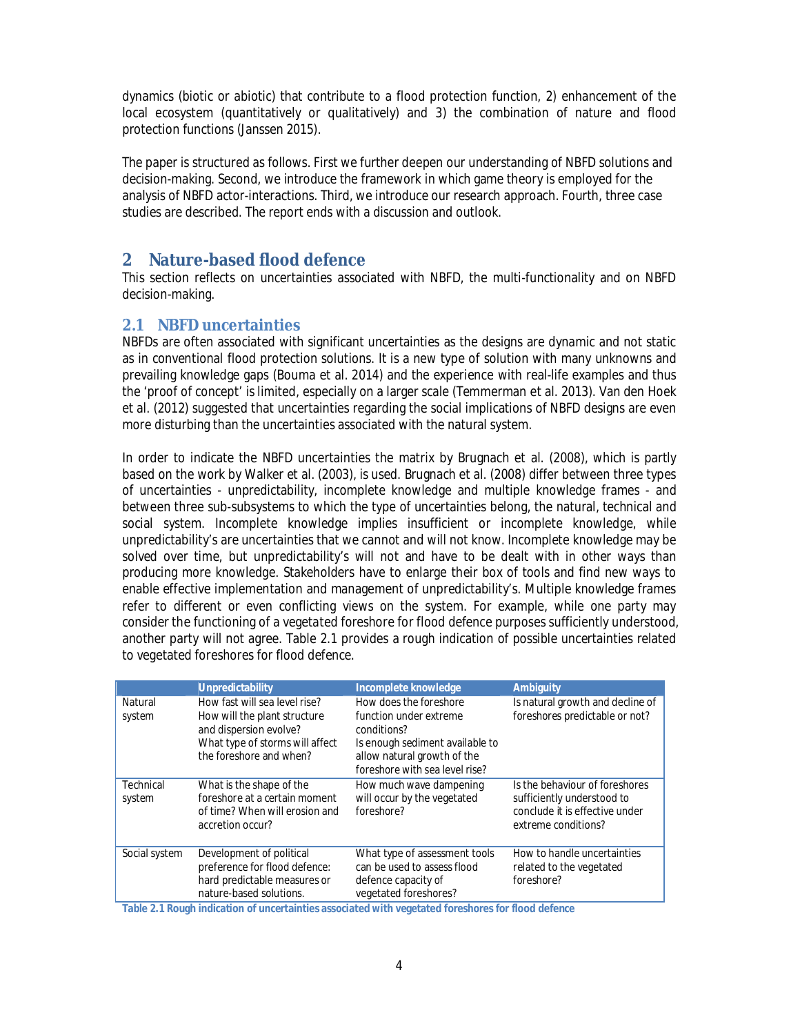dynamics (biotic or abiotic) that contribute to a flood protection function, 2) enhancement of the local ecosystem (quantitatively or qualitatively) and 3) the combination of nature and flood protection functions (Janssen 2015).

The paper is structured as follows. First we further deepen our understanding of NBFD solutions and decision-making. Second, we introduce the framework in which game theory is employed for the analysis of NBFD actor-interactions. Third, we introduce our research approach. Fourth, three case studies are described. The report ends with a discussion and outlook.

## **2 Nature-based flood defence**

This section reflects on uncertainties associated with NBFD, the multi-functionality and on NBFD decision-making.

### **2.1 NBFD uncertainties**

NBFDs are often associated with significant uncertainties as the designs are dynamic and not static as in conventional flood protection solutions. It is a new type of solution with many unknowns and prevailing knowledge gaps (Bouma et al. 2014) and the experience with real-life examples and thus the 'proof of concept' is limited, especially on a larger scale (Temmerman et al. 2013). Van den Hoek et al. (2012) suggested that uncertainties regarding the social implications of NBFD designs are even more disturbing than the uncertainties associated with the natural system.

In order to indicate the NBFD uncertainties the matrix by Brugnach et al. (2008), which is partly based on the work by Walker et al. (2003), is used. Brugnach et al. (2008) differ between three types of uncertainties - unpredictability, incomplete knowledge and multiple knowledge frames - and between three sub-subsystems to which the type of uncertainties belong, the natural, technical and social system. Incomplete knowledge implies insufficient or incomplete knowledge, while unpredictability's are uncertainties that we cannot and will not know. Incomplete knowledge may be solved over time, but unpredictability's will not and have to be dealt with in other ways than producing more knowledge. Stakeholders have to enlarge their box of tools and find new ways to enable effective implementation and management of unpredictability's. Multiple knowledge frames refer to different or even conflicting views on the system. For example, while one party may consider the functioning of a vegetated foreshore for flood defence purposes sufficiently understood, another party will not agree. Table 2.1 provides a rough indication of possible uncertainties related to vegetated foreshores for flood defence.

|                     | Unpredictability                                                                                                                                      | Incomplete knowledge                                                                                                                                                | Ambiguity                                                                                                             |
|---------------------|-------------------------------------------------------------------------------------------------------------------------------------------------------|---------------------------------------------------------------------------------------------------------------------------------------------------------------------|-----------------------------------------------------------------------------------------------------------------------|
| Natural<br>system   | How fast will sea level rise?<br>How will the plant structure<br>and dispersion evolve?<br>What type of storms will affect<br>the foreshore and when? | How does the foreshore<br>function under extreme<br>conditions?<br>Is enough sediment available to<br>allow natural growth of the<br>foreshore with sea level rise? | Is natural growth and decline of<br>foreshores predictable or not?                                                    |
| Technical<br>system | What is the shape of the<br>foreshore at a certain moment<br>of time? When will erosion and<br>accretion occur?                                       | How much wave dampening<br>will occur by the vegetated<br>foreshore?                                                                                                | Is the behaviour of foreshores<br>sufficiently understood to<br>conclude it is effective under<br>extreme conditions? |
| Social system       | Development of political<br>preference for flood defence:<br>hard predictable measures or<br>nature-based solutions.                                  | What type of assessment tools<br>can be used to assess flood<br>defence capacity of<br>vegetated foreshores?                                                        | How to handle uncertainties<br>related to the vegetated<br>foreshore?                                                 |

**Table 2.1 Rough indication of uncertainties associated with vegetated foreshores for flood defence**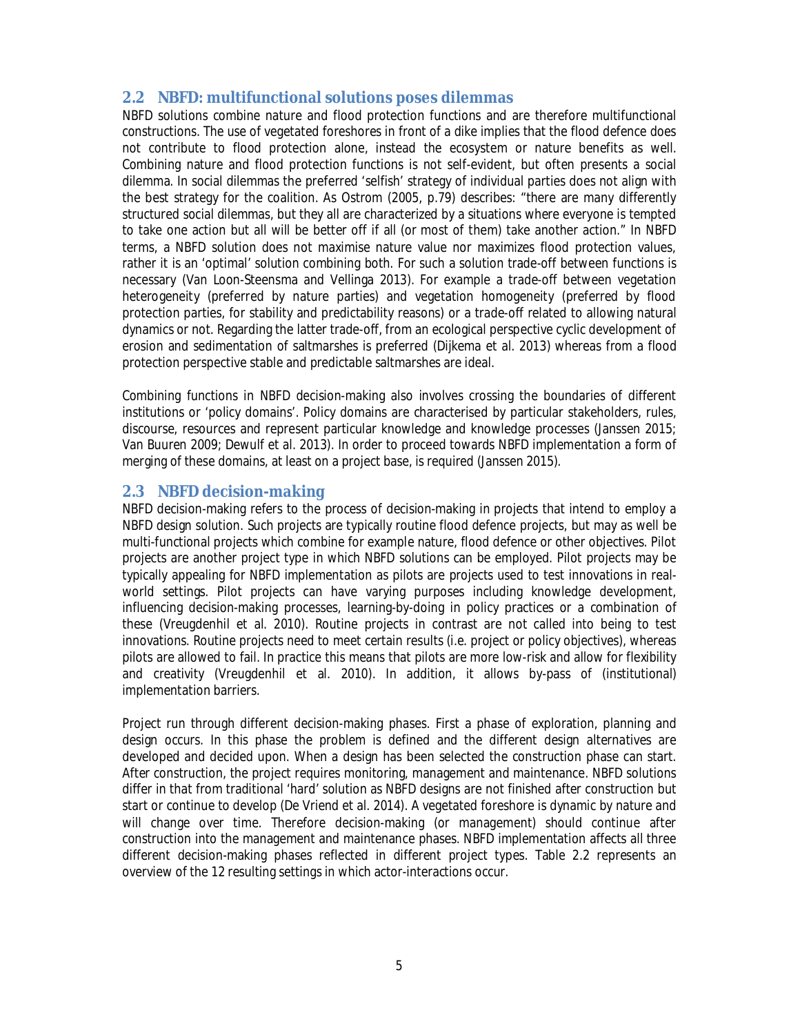## **2.2 NBFD: multifunctional solutions poses dilemmas**

NBFD solutions combine nature and flood protection functions and are therefore multifunctional constructions. The use of vegetated foreshores in front of a dike implies that the flood defence does not contribute to flood protection alone, instead the ecosystem or nature benefits as well. Combining nature and flood protection functions is not self-evident, but often presents a social dilemma. In social dilemmas the preferred 'selfish' strategy of individual parties does not align with the best strategy for the coalition. As Ostrom (2005, p.79) describes: "there are many differently structured social dilemmas, but they all are characterized by a situations where everyone is tempted to take one action but all will be better off if all (or most of them) take another action." In NBFD terms, a NBFD solution does not maximise nature value nor maximizes flood protection values, rather it is an 'optimal' solution combining both. For such a solution trade-off between functions is necessary (Van Loon-Steensma and Vellinga 2013). For example a trade-off between vegetation heterogeneity (preferred by nature parties) and vegetation homogeneity (preferred by flood protection parties, for stability and predictability reasons) or a trade-off related to allowing natural dynamics or not. Regarding the latter trade-off, from an ecological perspective cyclic development of erosion and sedimentation of saltmarshes is preferred (Dijkema et al. 2013) whereas from a flood protection perspective stable and predictable saltmarshes are ideal.

Combining functions in NBFD decision-making also involves crossing the boundaries of different institutions or 'policy domains'. Policy domains are characterised by particular stakeholders, rules, discourse, resources and represent particular knowledge and knowledge processes (Janssen 2015; Van Buuren 2009; Dewulf et al. 2013). In order to proceed towards NBFD implementation a form of merging of these domains, at least on a project base, is required (Janssen 2015).

## **2.3 NBFD decision-making**

NBFD decision-making refers to the process of decision-making in projects that intend to employ a NBFD design solution. Such projects are typically routine flood defence projects, but may as well be multi-functional projects which combine for example nature, flood defence or other objectives. Pilot projects are another project type in which NBFD solutions can be employed. Pilot projects may be typically appealing for NBFD implementation as pilots are projects used to test innovations in realworld settings. Pilot projects can have varying purposes including knowledge development, influencing decision-making processes, learning-by-doing in policy practices or a combination of these (Vreugdenhil et al. 2010). Routine projects in contrast are not called into being to test innovations. Routine projects need to meet certain results (i.e. project or policy objectives), whereas pilots are allowed to fail. In practice this means that pilots are more low-risk and allow for flexibility and creativity (Vreugdenhil et al. 2010). In addition, it allows by-pass of (institutional) implementation barriers.

Project run through different decision-making phases. First a phase of exploration, planning and design occurs. In this phase the problem is defined and the different design alternatives are developed and decided upon. When a design has been selected the construction phase can start. After construction, the project requires monitoring, management and maintenance. NBFD solutions differ in that from traditional 'hard' solution as NBFD designs are not finished after construction but start or continue to develop (De Vriend et al. 2014). A vegetated foreshore is dynamic by nature and will change over time. Therefore decision-making (or management) should continue after construction into the management and maintenance phases. NBFD implementation affects all three different decision-making phases reflected in different project types. Table 2.2 represents an overview of the 12 resulting settings in which actor-interactions occur.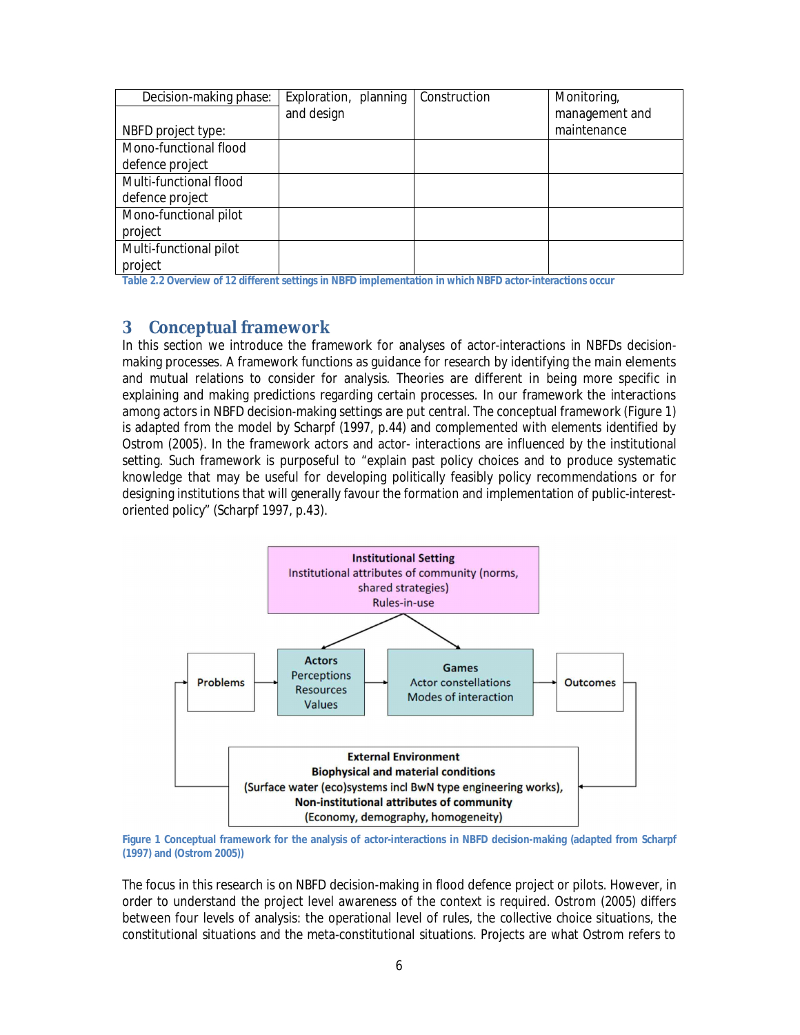| Decision-making phase: | Exploration, planning | Construction | Monitoring,    |
|------------------------|-----------------------|--------------|----------------|
|                        | and design            |              | management and |
| NBFD project type:     |                       |              | maintenance    |
| Mono-functional flood  |                       |              |                |
| defence project        |                       |              |                |
| Multi-functional flood |                       |              |                |
| defence project        |                       |              |                |
| Mono-functional pilot  |                       |              |                |
| project                |                       |              |                |
| Multi-functional pilot |                       |              |                |
| project                |                       |              |                |

**Table 2.2 Overview of 12 different settings in NBFD implementation in which NBFD actor-interactions occur**

## **3 Conceptual framework**

In this section we introduce the framework for analyses of actor-interactions in NBFDs decisionmaking processes. A framework functions as guidance for research by identifying the main elements and mutual relations to consider for analysis. Theories are different in being more specific in explaining and making predictions regarding certain processes. In our framework the interactions among actors in NBFD decision-making settings are put central. The conceptual framework (Figure 1) is adapted from the model by Scharpf (1997, p.44) and complemented with elements identified by Ostrom (2005). In the framework actors and actor- interactions are influenced by the institutional setting. Such framework is purposeful to "explain past policy choices and to produce systematic knowledge that may be useful for developing politically feasibly policy recommendations or for designing institutions that will generally favour the formation and implementation of public-interestoriented policy" (Scharpf 1997, p.43).



**Figure 1 Conceptual framework for the analysis of actor-interactions in NBFD decision-making (adapted from Scharpf (1997) and (Ostrom 2005))**

The focus in this research is on NBFD decision-making in flood defence project or pilots. However, in order to understand the project level awareness of the context is required. Ostrom (2005) differs between four levels of analysis: the operational level of rules, the collective choice situations, the constitutional situations and the meta-constitutional situations. Projects are what Ostrom refers to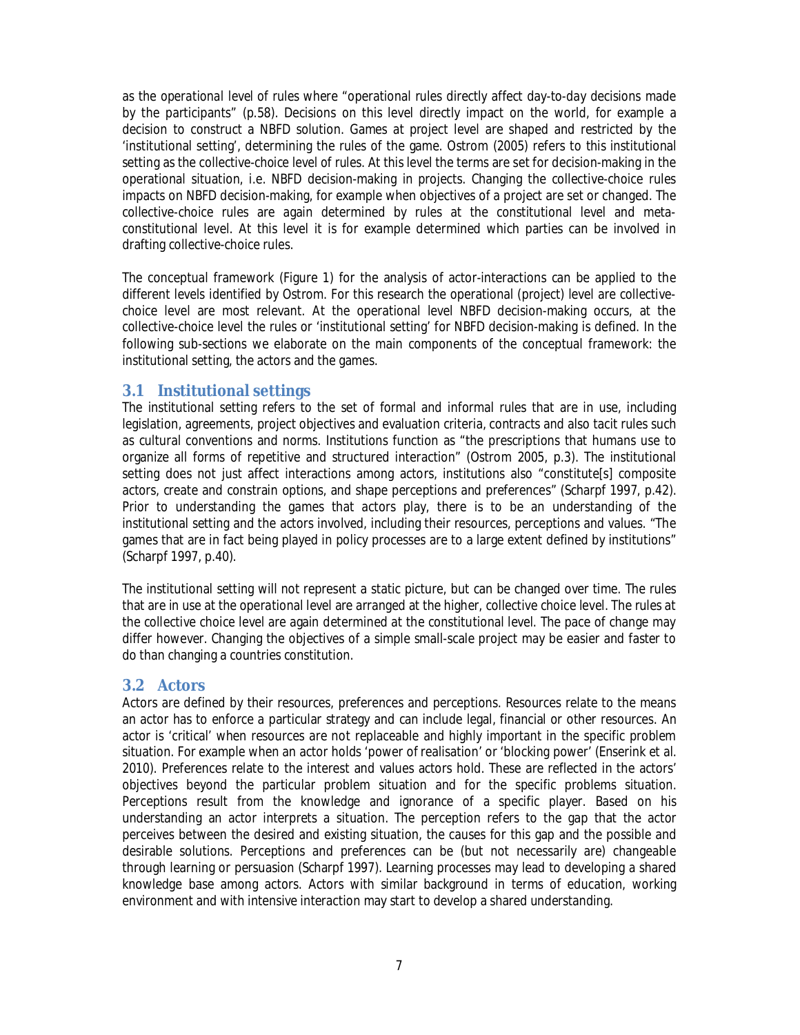as the *operational level of rules* where "operational rules directly affect day-to-day decisions made by the participants" (p.58). Decisions on this level directly impact on the world, for example a decision to construct a NBFD solution. Games at project level are shaped and restricted by the 'institutional setting', determining the rules of the game. Ostrom (2005) refers to this institutional setting as the *collective-choice level of rules.* At this level the terms are set for decision-making in the operational situation, i.e. NBFD decision-making in projects. Changing the collective-choice rules impacts on NBFD decision-making, for example when objectives of a project are set or changed. The collective-choice rules are again determined by rules at the constitutional level and metaconstitutional level. At this level it is for example determined which parties can be involved in drafting collective-choice rules.

The conceptual framework (Figure 1) for the analysis of actor-interactions can be applied to the different levels identified by Ostrom. For this research the operational (project) level are collectivechoice level are most relevant. At the operational level NBFD decision-making occurs, at the collective-choice level the rules or 'institutional setting' for NBFD decision-making is defined. In the following sub-sections we elaborate on the main components of the conceptual framework: the institutional setting, the actors and the games.

### **3.1 Institutional settings**

The institutional setting refers to the set of formal and informal rules that are in use, including legislation, agreements, project objectives and evaluation criteria, contracts and also tacit rules such as cultural conventions and norms. Institutions function as "the prescriptions that humans use to organize all forms of repetitive and structured interaction" (Ostrom 2005, p.3). The institutional setting does not just affect interactions among actors, institutions also "constitute[s] composite actors, create and constrain options, and shape perceptions and preferences" (Scharpf 1997, p.42). Prior to understanding the games that actors play, there is to be an understanding of the institutional setting and the actors involved, including their resources, perceptions and values. "The games that are in fact being played in policy processes are to a large extent defined by institutions" (Scharpf 1997, p.40).

The institutional setting will not represent a static picture, but can be changed over time. The rules that are in use at the operational level are arranged at the higher, collective choice level. The rules at the collective choice level are again determined at the constitutional level. The pace of change may differ however. Changing the objectives of a simple small-scale project may be easier and faster to do than changing a countries constitution.

### **3.2 Actors**

Actors are defined by their resources, preferences and perceptions. Resources relate to the means an actor has to enforce a particular strategy and can include legal, financial or other resources. An actor is 'critical' when resources are not replaceable and highly important in the specific problem situation. For example when an actor holds 'power of realisation' or 'blocking power' (Enserink et al. 2010). Preferences relate to the interest and values actors hold. These are reflected in the actors' objectives beyond the particular problem situation and for the specific problems situation. Perceptions result from the knowledge and ignorance of a specific player. Based on his understanding an actor interprets a situation. The perception refers to the gap that the actor perceives between the desired and existing situation, the causes for this gap and the possible and desirable solutions. Perceptions and preferences can be (but not necessarily are) changeable through learning or persuasion (Scharpf 1997). Learning processes may lead to developing a shared knowledge base among actors. Actors with similar background in terms of education, working environment and with intensive interaction may start to develop a shared understanding.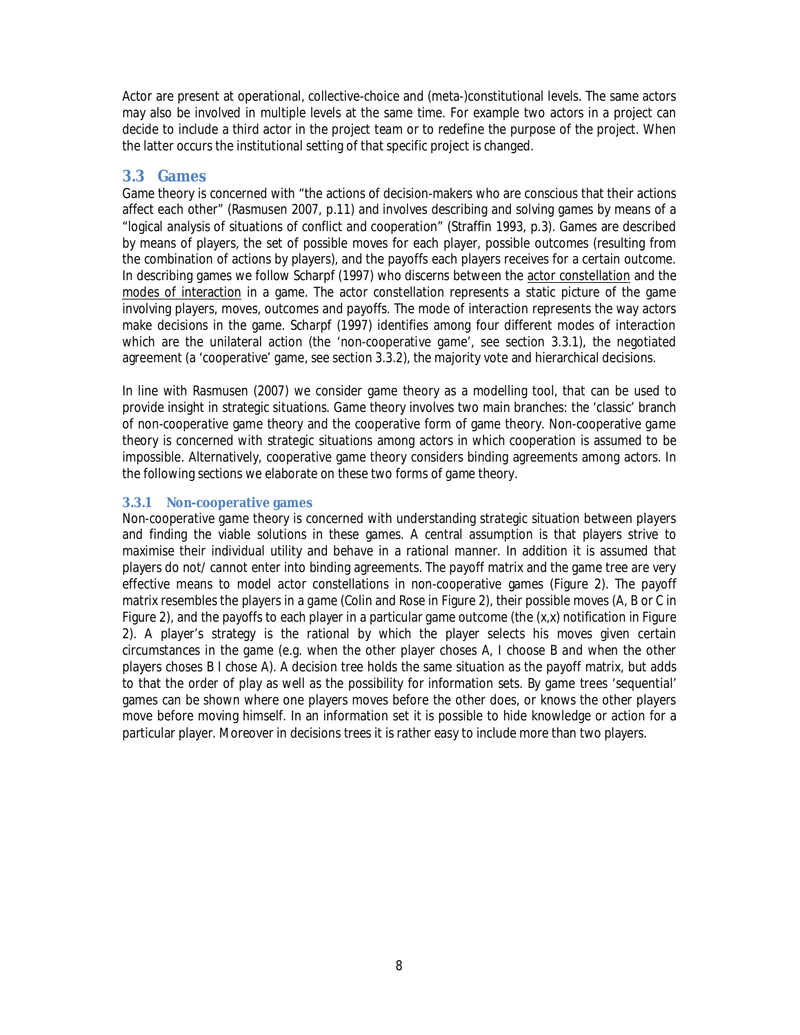Actor are present at operational, collective-choice and (meta-)constitutional levels. The same actors may also be involved in multiple levels at the same time. For example two actors in a project can decide to include a third actor in the project team or to redefine the purpose of the project. When the latter occurs the institutional setting of that specific project is changed.

## **3.3 Games**

Game theory is concerned with "the actions of decision-makers who are conscious that their actions affect each other" (Rasmusen 2007, p.11) and involves describing and solving games by means of a "logical analysis of situations of conflict and cooperation" (Straffin 1993, p.3). Games are described by means of players, the set of possible moves for each player, possible outcomes (resulting from the combination of actions by players), and the payoffs each players receives for a certain outcome. In describing games we follow Scharpf (1997) who discerns between the actor constellation and the modes of interaction in a game. The actor constellation represents a static picture of the game involving players, moves, outcomes and payoffs. The mode of interaction represents the way actors make decisions in the game. Scharpf (1997) identifies among four different modes of interaction which are the unilateral action (the 'non-cooperative game', see section 3.3.1), the negotiated agreement (a 'cooperative' game, see section 3.3.2), the majority vote and hierarchical decisions.

In line with Rasmusen (2007) we consider game theory as a modelling tool, that can be used to provide insight in strategic situations. Game theory involves two main branches: the 'classic' branch of non-cooperative game theory and the cooperative form of game theory. Non-cooperative game theory is concerned with strategic situations among actors in which cooperation is assumed to be impossible. Alternatively, cooperative game theory considers binding agreements among actors. In the following sections we elaborate on these two forms of game theory.

### **3.3.1 Non-cooperative games**

Non-cooperative game theory is concerned with understanding strategic situation between players and finding the viable solutions in these games. A central assumption is that players strive to maximise their individual utility and behave in a rational manner. In addition it is assumed that players do not/ cannot enter into binding agreements. The payoff matrix and the game tree are very effective means to model actor constellations in non-cooperative games (Figure 2). The payoff matrix resembles the players in a game (Colin and Rose in Figure 2), their possible moves (A, B or C in Figure 2), and the payoffs to each player in a particular game outcome (the (x,x) notification in Figure 2). A player's strategy is the rational by which the player selects his moves given certain circumstances in the game (e.g. when the other player choses A, I choose B and when the other players choses B I chose A). A decision tree holds the same situation as the payoff matrix, but adds to that the order of play as well as the possibility for information sets. By game trees 'sequential' games can be shown where one players moves before the other does, or knows the other players move before moving himself. In an information set it is possible to hide knowledge or action for a particular player. Moreover in decisions trees it is rather easy to include more than two players.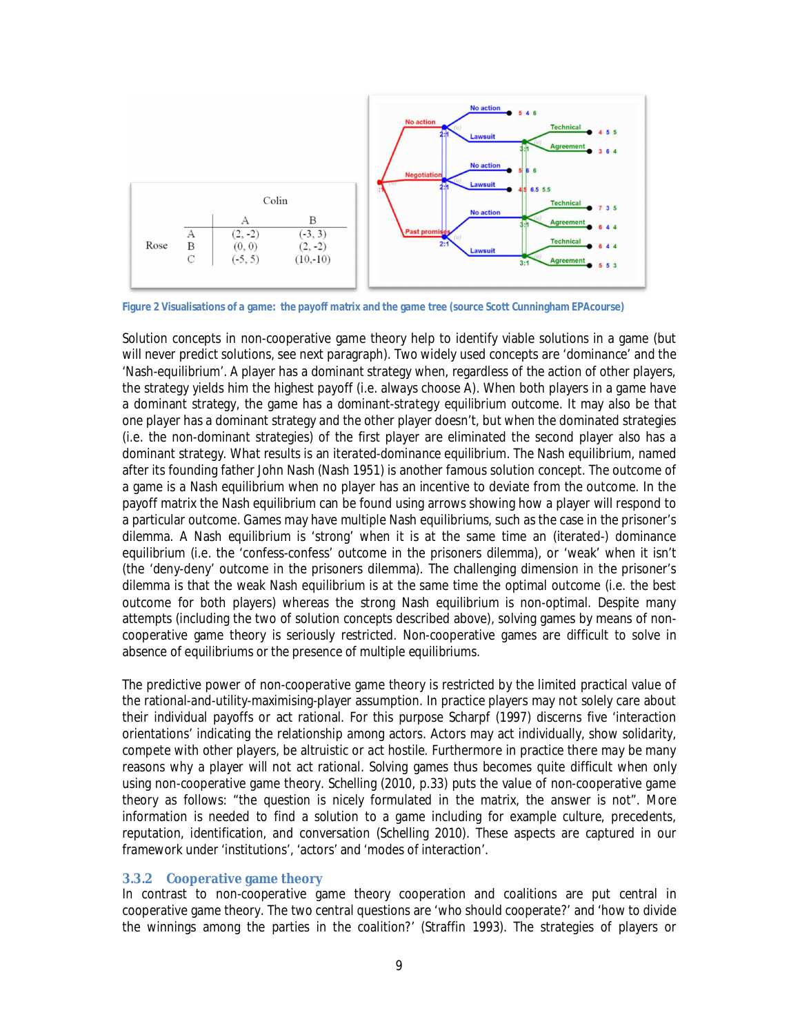

**Figure 2 Visualisations of a game: the payoff matrix and the game tree (source Scott Cunningham EPAcourse)**

Solution concepts in non-cooperative game theory help to identify viable solutions in a game (but will never predict solutions, see next paragraph). Two widely used concepts are 'dominance' and the 'Nash-equilibrium'. A player has a dominant strategy when, regardless of the action of other players, the strategy yields him the highest payoff (i.e. always choose A). When both players in a game have a dominant strategy, the game has a *dominant-strategy equilibrium outcome*. It may also be that one player has a dominant strategy and the other player doesn't, but when the dominated strategies (i.e. the non-dominant strategies) of the first player are eliminated the second player also has a dominant strategy. What results is an *iterated-dominance equilibrium*. The Nash equilibrium, named after its founding father John Nash (Nash 1951) is another famous solution concept. The outcome of a game is a Nash equilibrium when no player has an incentive to deviate from the outcome. In the payoff matrix the Nash equilibrium can be found using arrows showing how a player will respond to a particular outcome. Games may have multiple Nash equilibriums, such as the case in the prisoner's dilemma. A Nash equilibrium is 'strong' when it is at the same time an (iterated-) dominance equilibrium (i.e. the 'confess-confess' outcome in the prisoners dilemma), or 'weak' when it isn't (the 'deny-deny' outcome in the prisoners dilemma). The challenging dimension in the prisoner's dilemma is that the weak Nash equilibrium is at the same time the optimal outcome (i.e. the best outcome for both players) whereas the strong Nash equilibrium is non-optimal. Despite many attempts (including the two of solution concepts described above), solving games by means of noncooperative game theory is seriously restricted. Non-cooperative games are difficult to solve in absence of equilibriums or the presence of multiple equilibriums.

The predictive power of non-cooperative game theory is restricted by the limited practical value of the rational-and-utility-maximising-player assumption. In practice players may not solely care about their individual payoffs or act rational. For this purpose Scharpf (1997) discerns five 'interaction orientations' indicating the relationship among actors. Actors may act individually, show solidarity, compete with other players, be altruistic or act hostile. Furthermore in practice there may be many reasons why a player will not act rational. Solving games thus becomes quite difficult when only using non-cooperative game theory. Schelling (2010, p.33) puts the value of non-cooperative game theory as follows: "the *question* is nicely formulated in the matrix, the *answer* is not". More information is needed to find a solution to a game including for example culture, precedents, reputation, identification, and conversation (Schelling 2010). These aspects are captured in our framework under 'institutions', 'actors' and 'modes of interaction'.

#### **3.3.2 Cooperative game theory**

In contrast to non-cooperative game theory cooperation and coalitions are put central in cooperative game theory. The two central questions are 'who should cooperate?' and 'how to divide the winnings among the parties in the coalition?' (Straffin 1993). The strategies of players or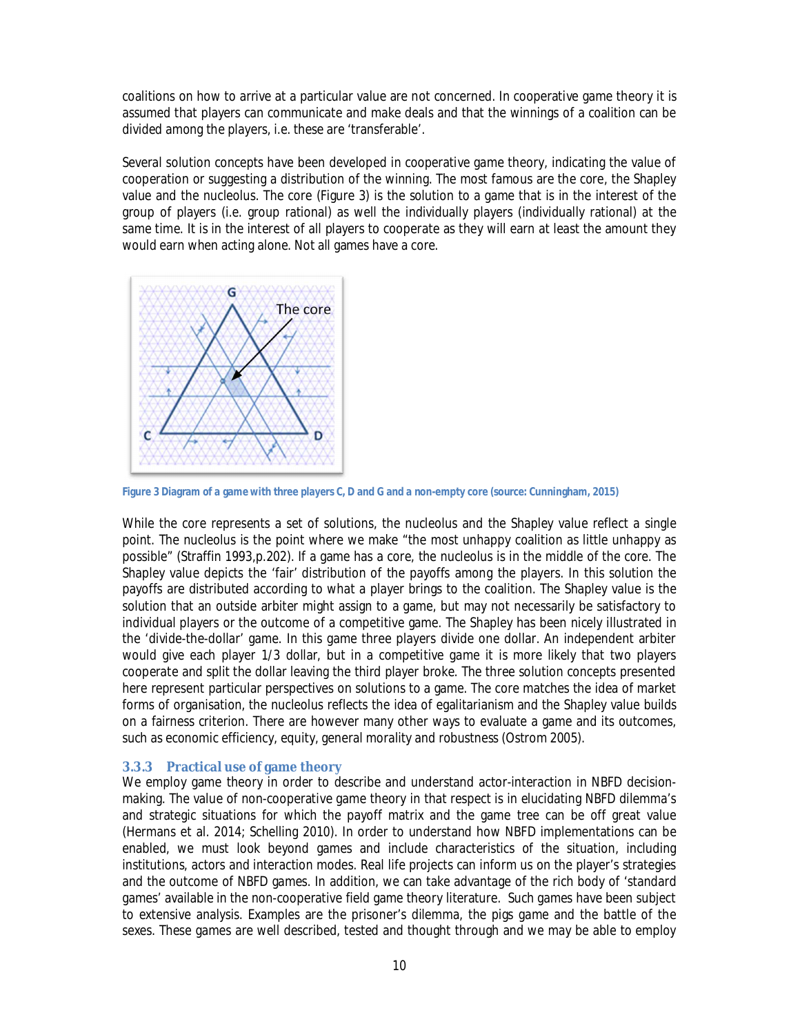coalitions on how to arrive at a particular value are not concerned. In cooperative game theory it is assumed that players can communicate and make deals and that the winnings of a coalition can be divided among the players, i.e. these are 'transferable'.

Several solution concepts have been developed in cooperative game theory, indicating the value of cooperation or suggesting a distribution of the winning. The most famous are the core, the Shapley value and the nucleolus. The core (Figure 3) is the solution to a game that is in the interest of the group of players (i.e. group rational) as well the individually players (individually rational) at the same time. It is in the interest of all players to cooperate as they will earn at least the amount they would earn when acting alone. Not all games have a core.



**Figure 3 Diagram of a game with three players C, D and G and a non-empty core (source: Cunningham, 2015)**

While the core represents a set of solutions, the nucleolus and the Shapley value reflect a single point. The nucleolus is the point where we make "the most unhappy coalition as little unhappy as possible" (Straffin 1993,p.202). If a game has a core, the nucleolus is in the middle of the core. The Shapley value depicts the 'fair' distribution of the payoffs among the players. In this solution the payoffs are distributed according to what a player brings to the coalition. The Shapley value is the solution that an outside arbiter might assign to a game, but may not necessarily be satisfactory to individual players or the outcome of a competitive game. The Shapley has been nicely illustrated in the 'divide-the-dollar' game. In this game three players divide one dollar. An independent arbiter would give each player 1/3 dollar, but in a competitive game it is more likely that two players cooperate and split the dollar leaving the third player broke. The three solution concepts presented here represent particular perspectives on solutions to a game. The core matches the idea of market forms of organisation, the nucleolus reflects the idea of egalitarianism and the Shapley value builds on a fairness criterion. There are however many other ways to evaluate a game and its outcomes, such as economic efficiency, equity, general morality and robustness (Ostrom 2005).

### **3.3.3 Practical use of game theory**

We employ game theory in order to describe and understand actor-interaction in NBFD decisionmaking. The value of non-cooperative game theory in that respect is in elucidating NBFD dilemma's and strategic situations for which the payoff matrix and the game tree can be off great value (Hermans et al. 2014; Schelling 2010). In order to understand how NBFD implementations can be enabled, we must look beyond games and include characteristics of the situation, including institutions, actors and interaction modes. Real life projects can inform us on the player's strategies and the outcome of NBFD games. In addition, we can take advantage of the rich body of 'standard games' available in the non-cooperative field game theory literature. Such games have been subject to extensive analysis. Examples are the prisoner's dilemma, the pigs game and the battle of the sexes. These games are well described, tested and thought through and we may be able to employ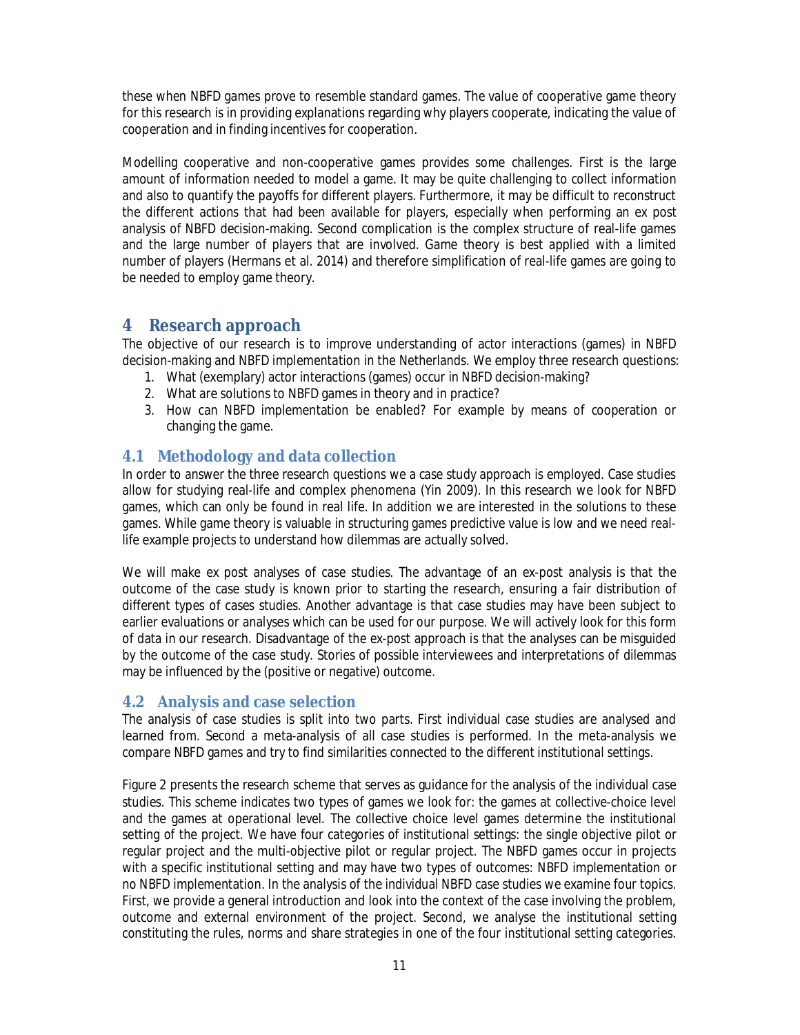these when NBFD games prove to resemble standard games. The value of cooperative game theory for this research is in providing explanations regarding why players cooperate, indicating the value of cooperation and in finding incentives for cooperation.

Modelling cooperative and non-cooperative games provides some challenges. First is the large amount of information needed to model a game. It may be quite challenging to collect information and also to quantify the payoffs for different players. Furthermore, it may be difficult to reconstruct the different actions that had been available for players, especially when performing an ex post analysis of NBFD decision-making. Second complication is the complex structure of real-life games and the large number of players that are involved. Game theory is best applied with a limited number of players (Hermans et al. 2014) and therefore simplification of real-life games are going to be needed to employ game theory.

## **4 Research approach**

The objective of our research is to improve understanding of actor interactions (games) in NBFD decision-making and NBFD implementation in the Netherlands. We employ three research questions:

- 1. What (exemplary) actor interactions (games) occur in NBFD decision-making?
- 2. What are solutions to NBFD games in theory and in practice?
- 3. How can NBFD implementation be enabled? For example by means of cooperation or changing the game.

## **4.1 Methodology and data collection**

In order to answer the three research questions we a case study approach is employed. Case studies allow for studying real-life and complex phenomena (Yin 2009). In this research we look for NBFD games, which can only be found in real life. In addition we are interested in the solutions to these games. While game theory is valuable in structuring games predictive value is low and we need reallife example projects to understand how dilemmas are actually solved.

We will make ex post analyses of case studies. The advantage of an ex-post analysis is that the outcome of the case study is known prior to starting the research, ensuring a fair distribution of different types of cases studies. Another advantage is that case studies may have been subject to earlier evaluations or analyses which can be used for our purpose. We will actively look for this form of data in our research. Disadvantage of the ex-post approach is that the analyses can be misguided by the outcome of the case study. Stories of possible interviewees and interpretations of dilemmas may be influenced by the (positive or negative) outcome.

## **4.2 Analysis and case selection**

The analysis of case studies is split into two parts. First individual case studies are analysed and learned from. Second a meta-analysis of all case studies is performed. In the meta-analysis we compare NBFD games and try to find similarities connected to the different institutional settings.

Figure 2 presents the research scheme that serves as guidance for the analysis of the individual case studies. This scheme indicates two types of games we look for: the games at collective-choice level and the games at operational level. The collective choice level games determine the institutional setting of the project. We have four categories of institutional settings: the single objective pilot or regular project and the multi-objective pilot or regular project. The NBFD games occur in projects with a specific institutional setting and may have two types of outcomes: NBFD implementation or no NBFD implementation. In the analysis of the individual NBFD case studies we examine four topics. First, we provide a general introduction and look into the context of the case involving the problem, outcome and external environment of the project. Second, we analyse the institutional setting constituting the rules, norms and share strategies in one of the four institutional setting categories.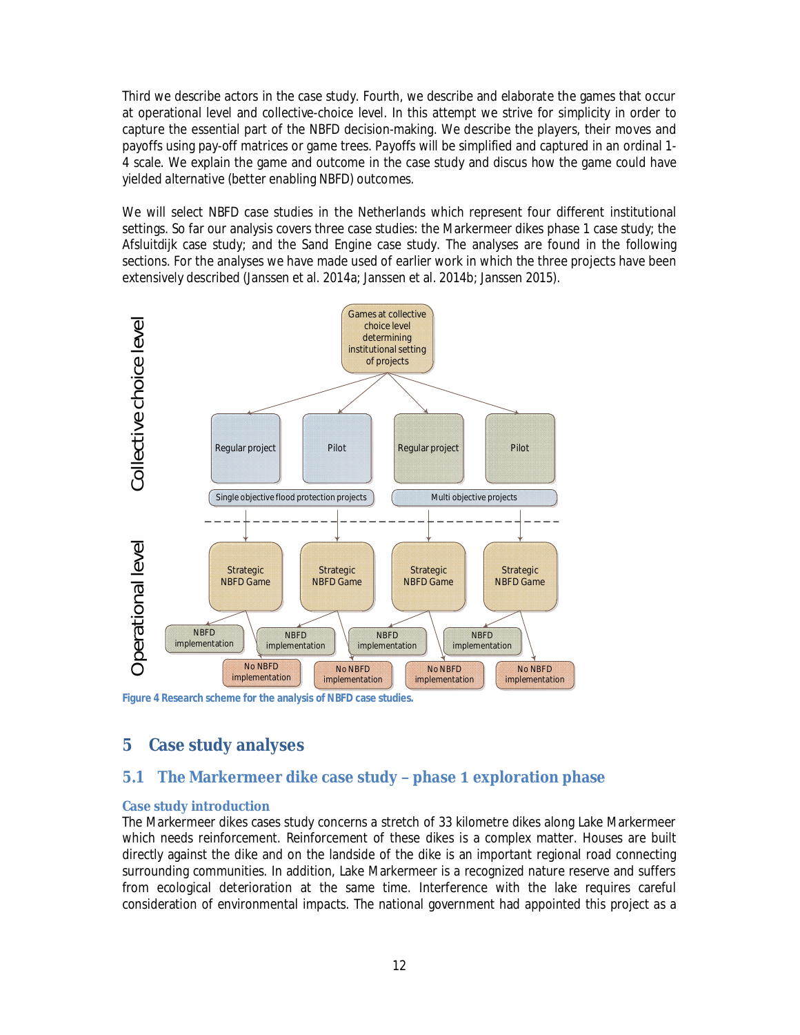Third we describe actors in the case study. Fourth, we describe and elaborate the games that occur at operational level and collective-choice level. In this attempt we strive for simplicity in order to capture the essential part of the NBFD decision-making. We describe the players, their moves and payoffs using pay-off matrices or game trees. Payoffs will be simplified and captured in an ordinal 1- 4 scale. We explain the game and outcome in the case study and discus how the game could have yielded alternative (better enabling NBFD) outcomes.

We will select NBFD case studies in the Netherlands which represent four different institutional settings. So far our analysis covers three case studies: the Markermeer dikes phase 1 case study; the Afsluitdijk case study; and the Sand Engine case study. The analyses are found in the following sections. For the analyses we have made used of earlier work in which the three projects have been extensively described (Janssen et al. 2014a; Janssen et al. 2014b; Janssen 2015).



**Figure 4 Research scheme for the analysis of NBFD case studies.**

# **5 Case study analyses**

## **5.1 The Markermeer dike case study – phase 1 exploration phase**

### **Case study introduction**

The Markermeer dikes cases study concerns a stretch of 33 kilometre dikes along Lake Markermeer which needs reinforcement. Reinforcement of these dikes is a complex matter. Houses are built directly against the dike and on the landside of the dike is an important regional road connecting surrounding communities. In addition, Lake Markermeer is a recognized nature reserve and suffers from ecological deterioration at the same time. Interference with the lake requires careful consideration of environmental impacts. The national government had appointed this project as a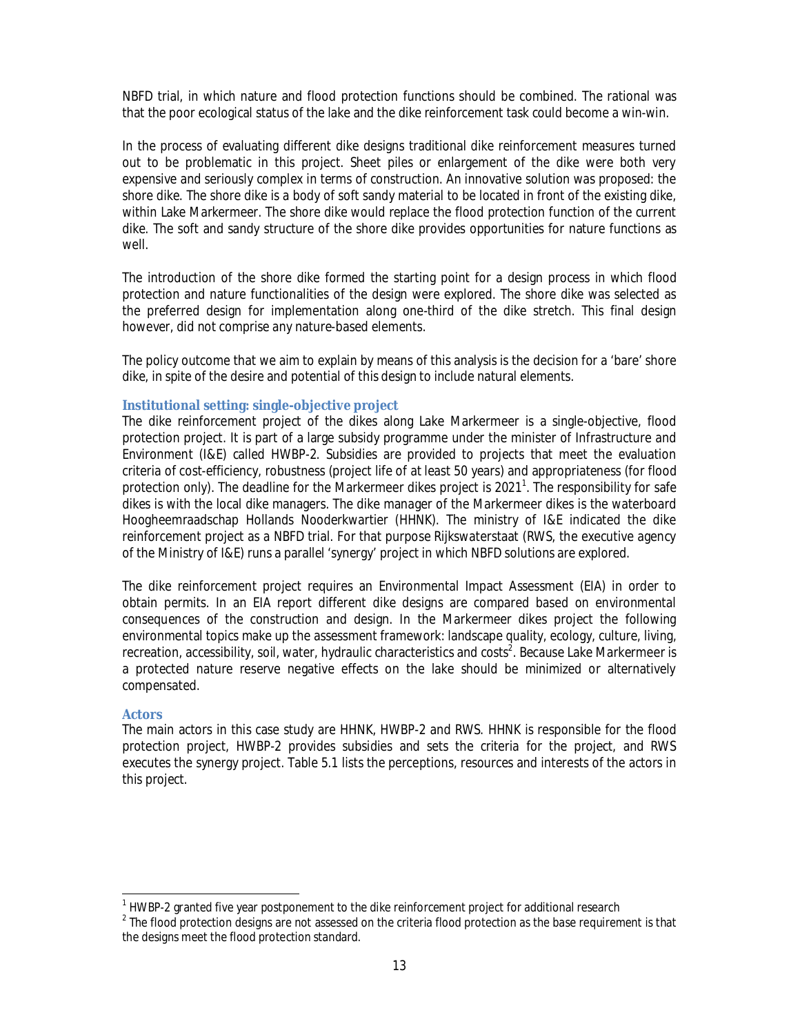NBFD trial, in which nature and flood protection functions should be combined. The rational was that the poor ecological status of the lake and the dike reinforcement task could become a win-win.

In the process of evaluating different dike designs traditional dike reinforcement measures turned out to be problematic in this project. Sheet piles or enlargement of the dike were both very expensive and seriously complex in terms of construction. An innovative solution was proposed: the shore dike. The shore dike is a body of soft sandy material to be located in front of the existing dike, within Lake Markermeer. The shore dike would replace the flood protection function of the current dike. The soft and sandy structure of the shore dike provides opportunities for nature functions as well.

The introduction of the shore dike formed the starting point for a design process in which flood protection and nature functionalities of the design were explored. The shore dike was selected as the preferred design for implementation along one-third of the dike stretch. This final design however, did not comprise any nature-based elements.

The policy outcome that we aim to explain by means of this analysis is the decision for a 'bare' shore dike, in spite of the desire and potential of this design to include natural elements.

#### **Institutional setting: single-objective project**

The dike reinforcement project of the dikes along Lake Markermeer is a single-objective, flood protection project. It is part of a large subsidy programme under the minister of Infrastructure and Environment (I&E) called HWBP-2. Subsidies are provided to projects that meet the evaluation criteria of cost-efficiency, robustness (project life of at least 50 years) and appropriateness (for flood protection only). The deadline for the Markermeer dikes project is 2021<sup>1</sup>. The responsibility for safe dikes is with the local dike managers. The dike manager of the Markermeer dikes is the waterboard Hoogheemraadschap Hollands Nooderkwartier (HHNK). The ministry of I&E indicated the dike reinforcement project as a NBFD trial. For that purpose Rijkswaterstaat (RWS, the executive agency of the Ministry of I&E) runs a parallel 'synergy' project in which NBFD solutions are explored.

The dike reinforcement project requires an Environmental Impact Assessment (EIA) in order to obtain permits. In an EIA report different dike designs are compared based on environmental consequences of the construction and design. In the Markermeer dikes project the following environmental topics make up the assessment framework: landscape quality, ecology, culture, living, recreation, accessibility, soil, water, hydraulic characteristics and costs<sup>2</sup>. Because Lake Markermeer is a protected nature reserve negative effects on the lake should be minimized or alternatively compensated.

#### **Actors**

The main actors in this case study are HHNK, HWBP-2 and RWS. HHNK is responsible for the flood protection project, HWBP-2 provides subsidies and sets the criteria for the project, and RWS executes the synergy project. Table 5.1 lists the perceptions, resources and interests of the actors in this project.

<sup>&</sup>lt;sup>1</sup> HWBP-2 granted five year postponement to the dike reinforcement project for additional research

 $^{\text{2}}$  The flood protection designs are not assessed on the criteria flood protection as the base requirement is that the designs meet the flood protection standard.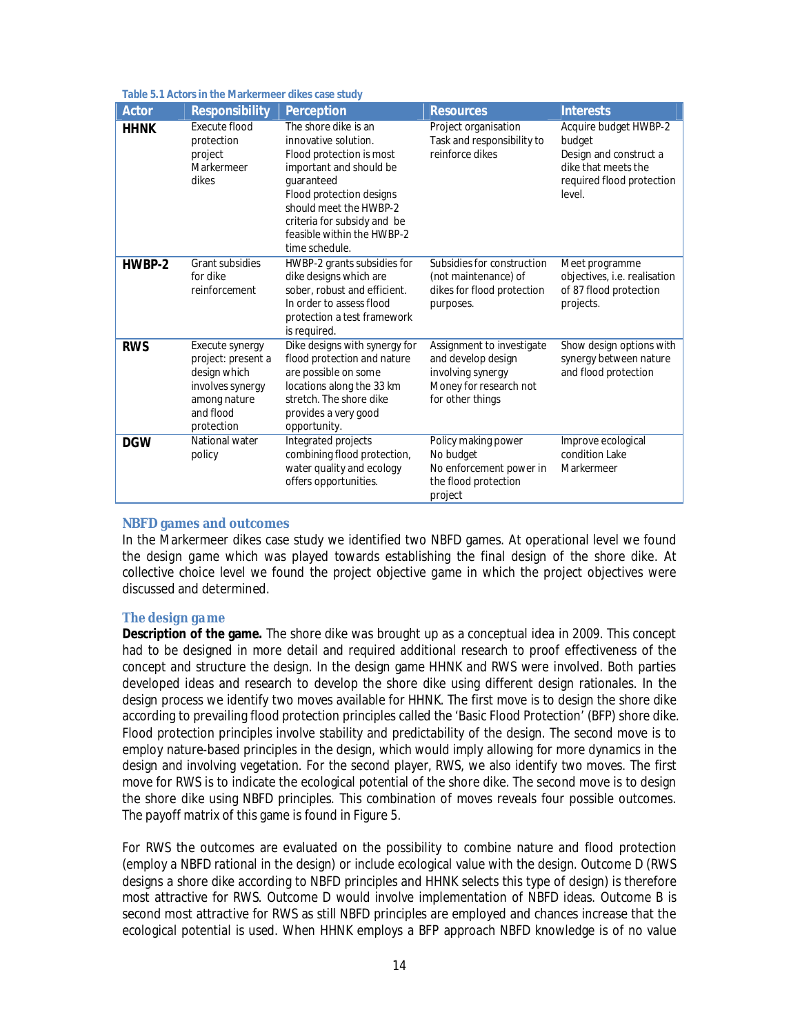#### **Table 5.1 Actors in the Markermeer dikes case study**

| Actor       | <b>Responsibility</b>                                                                                                | Perception                                                                                                                                                                                                                                             | <b>Resources</b>                                                                                                   | <b>Interests</b>                                                                                                        |
|-------------|----------------------------------------------------------------------------------------------------------------------|--------------------------------------------------------------------------------------------------------------------------------------------------------------------------------------------------------------------------------------------------------|--------------------------------------------------------------------------------------------------------------------|-------------------------------------------------------------------------------------------------------------------------|
| <b>HHNK</b> | Execute flood<br>protection<br>project<br>Markermeer<br>dikes                                                        | The shore dike is an<br>innovative solution.<br>Flood protection is most<br>important and should be<br>quaranteed<br>Flood protection designs<br>should meet the HWBP-2<br>criteria for subsidy and be<br>feasible within the HWBP-2<br>time schedule. | Project organisation<br>Task and responsibility to<br>reinforce dikes                                              | Acquire budget HWBP-2<br>budget<br>Design and construct a<br>dike that meets the<br>required flood protection<br>level. |
| HWBP-2      | Grant subsidies<br>for dike<br>reinforcement                                                                         | HWBP-2 grants subsidies for<br>dike designs which are<br>sober, robust and efficient.<br>In order to assess flood<br>protection a test framework<br>is required.                                                                                       | Subsidies for construction<br>(not maintenance) of<br>dikes for flood protection<br>purposes.                      | Meet programme<br>objectives, i.e. realisation<br>of 87 flood protection<br>projects.                                   |
| <b>RWS</b>  | Execute synergy<br>project: present a<br>design which<br>involves synergy<br>among nature<br>and flood<br>protection | Dike designs with synergy for<br>flood protection and nature<br>are possible on some<br>locations along the 33 km<br>stretch. The shore dike<br>provides a very good<br>opportunity.                                                                   | Assignment to investigate<br>and develop design<br>involving synergy<br>Money for research not<br>for other things | Show design options with<br>synergy between nature<br>and flood protection                                              |
| <b>DGW</b>  | National water<br>policy                                                                                             | Integrated projects<br>combining flood protection,<br>water quality and ecology<br>offers opportunities.                                                                                                                                               | Policy making power<br>No budget<br>No enforcement power in<br>the flood protection<br>project                     | Improve ecological<br>condition Lake<br>Markermeer                                                                      |

#### **NBFD games and outcomes**

In the Markermeer dikes case study we identified two NBFD games. At operational level we found the *design game* which was played towards establishing the final design of the shore dike. At collective choice level we found the *project objective game* in which the project objectives were discussed and determined.

#### *The design game*

**Description of the game.** The shore dike was brought up as a conceptual idea in 2009. This concept had to be designed in more detail and required additional research to proof effectiveness of the concept and structure the design. In the design game HHNK and RWS were involved. Both parties developed ideas and research to develop the shore dike using different design rationales. In the design process we identify two moves available for HHNK. The first move is to design the shore dike according to prevailing flood protection principles called the 'Basic Flood Protection' (BFP) shore dike. Flood protection principles involve stability and predictability of the design. The second move is to employ nature-based principles in the design, which would imply allowing for more dynamics in the design and involving vegetation. For the second player, RWS, we also identify two moves. The first move for RWS is to indicate the ecological potential of the shore dike. The second move is to design the shore dike using NBFD principles. This combination of moves reveals four possible outcomes. The payoff matrix of this game is found in Figure 5.

For RWS the outcomes are evaluated on the possibility to combine nature and flood protection (employ a NBFD rational in the design) or include ecological value with the design. Outcome D (RWS designs a shore dike according to NBFD principles and HHNK selects this type of design) is therefore most attractive for RWS. Outcome D would involve implementation of NBFD ideas. Outcome B is second most attractive for RWS as still NBFD principles are employed and chances increase that the ecological potential is used. When HHNK employs a BFP approach NBFD knowledge is of no value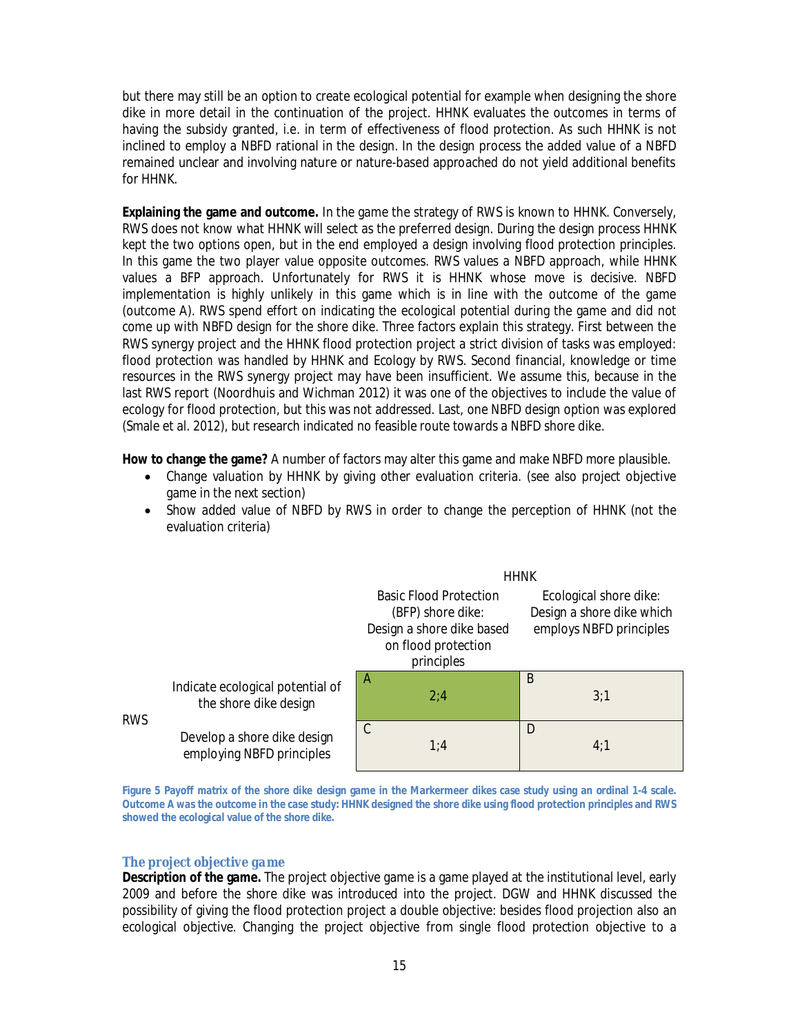but there may still be an option to create ecological potential for example when designing the shore dike in more detail in the continuation of the project. HHNK evaluates the outcomes in terms of having the subsidy granted, i.e. in term of effectiveness of flood protection. As such HHNK is not inclined to employ a NBFD rational in the design. In the design process the added value of a NBFD remained unclear and involving nature or nature-based approached do not yield additional benefits for HHNK.

**Explaining the game and outcome.** In the game the strategy of RWS is known to HHNK. Conversely, RWS does not know what HHNK will select as the preferred design. During the design process HHNK kept the two options open, but in the end employed a design involving flood protection principles. In this game the two player value opposite outcomes. RWS values a NBFD approach, while HHNK values a BFP approach. Unfortunately for RWS it is HHNK whose move is decisive. NBFD implementation is highly unlikely in this game which is in line with the outcome of the game (outcome A). RWS spend effort on indicating the ecological potential during the game and did not come up with NBFD design for the shore dike. Three factors explain this strategy. First between the RWS synergy project and the HHNK flood protection project a strict division of tasks was employed: flood protection was handled by HHNK and Ecology by RWS. Second financial, knowledge or time resources in the RWS synergy project may have been insufficient. We assume this, because in the last RWS report (Noordhuis and Wichman 2012) it was one of the objectives to include the value of ecology for flood protection, but this was not addressed. Last, one NBFD design option was explored (Smale et al. 2012), but research indicated no feasible route towards a NBFD shore dike.

**How to change the game?** A number of factors may alter this game and make NBFD more plausible.

- Change valuation by HHNK by giving other evaluation criteria. (see also project objective game in the next section)
- Show added value of NBFD by RWS in order to change the perception of HHNK (not the evaluation criteria)

|                                  | <b>HHNK</b>                                                                                                          |                                                                                |  |  |
|----------------------------------|----------------------------------------------------------------------------------------------------------------------|--------------------------------------------------------------------------------|--|--|
|                                  | <b>Basic Flood Protection</b><br>(BFP) shore dike:<br>Design a shore dike based<br>on flood protection<br>principles | Ecological shore dike:<br>Design a shore dike which<br>employs NBFD principles |  |  |
| Indicate ecological potential of | A                                                                                                                    | B                                                                              |  |  |
| the shore dike design            | 2:4                                                                                                                  | 3:1                                                                            |  |  |
| Develop a shore dike design      | C                                                                                                                    | D                                                                              |  |  |
| employing NBFD principles        | 1:4                                                                                                                  | 4:1                                                                            |  |  |

**RWS** 

**Figure 5 Payoff matrix of the shore dike design game in the Markermeer dikes case study using an ordinal 1-4 scale. Outcome A was the outcome in the case study: HHNK designed the shore dike using flood protection principles and RWS showed the ecological value of the shore dike.**

#### *The project objective game*

**Description of the game.** The project objective game is a game played at the institutional level, early 2009 and before the shore dike was introduced into the project. DGW and HHNK discussed the possibility of giving the flood protection project a double objective: besides flood projection also an ecological objective. Changing the project objective from single flood protection objective to a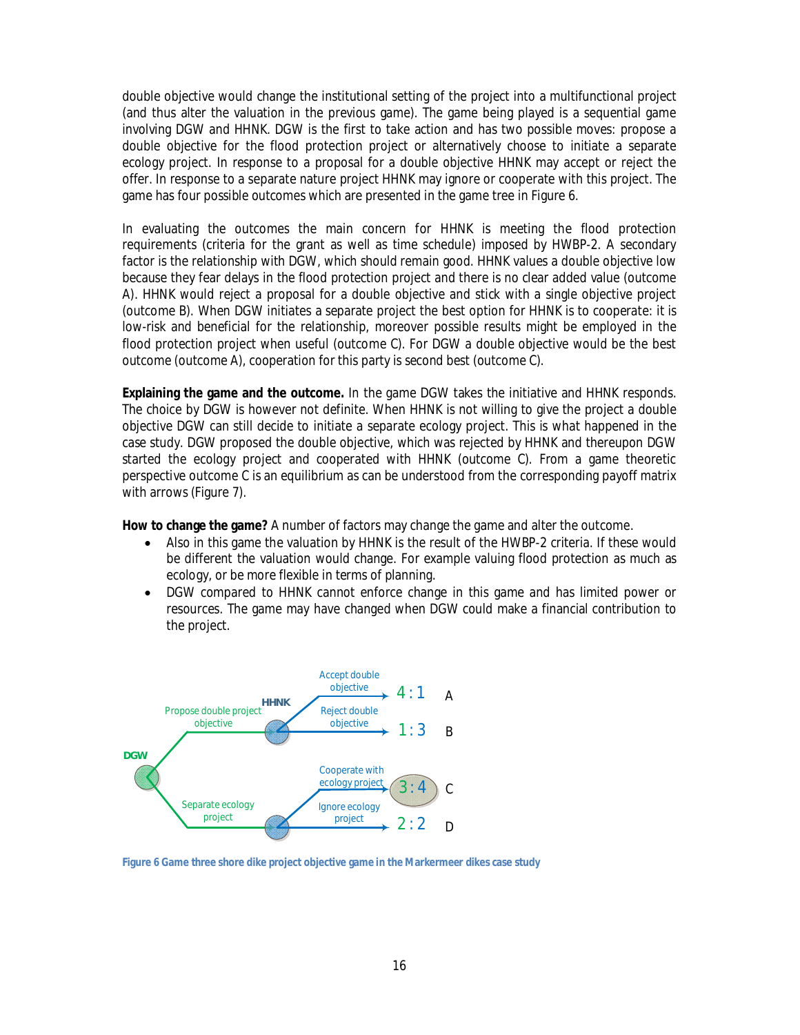double objective would change the institutional setting of the project into a multifunctional project (and thus alter the valuation in the previous game). The game being played is a sequential game involving DGW and HHNK. DGW is the first to take action and has two possible moves: propose a double objective for the flood protection project or alternatively choose to initiate a separate ecology project. In response to a proposal for a double objective HHNK may accept or reject the offer. In response to a separate nature project HHNK may ignore or cooperate with this project. The game has four possible outcomes which are presented in the game tree in Figure 6.

In evaluating the outcomes the main concern for HHNK is meeting the flood protection requirements (criteria for the grant as well as time schedule) imposed by HWBP-2. A secondary factor is the relationship with DGW, which should remain good. HHNK values a double objective low because they fear delays in the flood protection project and there is no clear added value (outcome A). HHNK would reject a proposal for a double objective and stick with a single objective project (outcome B). When DGW initiates a separate project the best option for HHNK is to cooperate: it is low-risk and beneficial for the relationship, moreover possible results might be employed in the flood protection project when useful (outcome C). For DGW a double objective would be the best outcome (outcome A), cooperation for this party is second best (outcome C).

**Explaining the game and the outcome.** In the game DGW takes the initiative and HHNK responds. The choice by DGW is however not definite. When HHNK is not willing to give the project a double objective DGW can still decide to initiate a separate ecology project. This is what happened in the case study. DGW proposed the double objective, which was rejected by HHNK and thereupon DGW started the ecology project and cooperated with HHNK (outcome C). From a game theoretic perspective outcome C is an equilibrium as can be understood from the corresponding payoff matrix with arrows (Figure 7).

**How to change the game?** A number of factors may change the game and alter the outcome.

- Also in this game the valuation by HHNK is the result of the HWBP-2 criteria. If these would be different the valuation would change. For example valuing flood protection as much as ecology, or be more flexible in terms of planning.
- DGW compared to HHNK cannot enforce change in this game and has limited power or resources. The game may have changed when DGW could make a financial contribution to the project.



**Figure 6 Game three shore dike project objective game in the Markermeer dikes case study**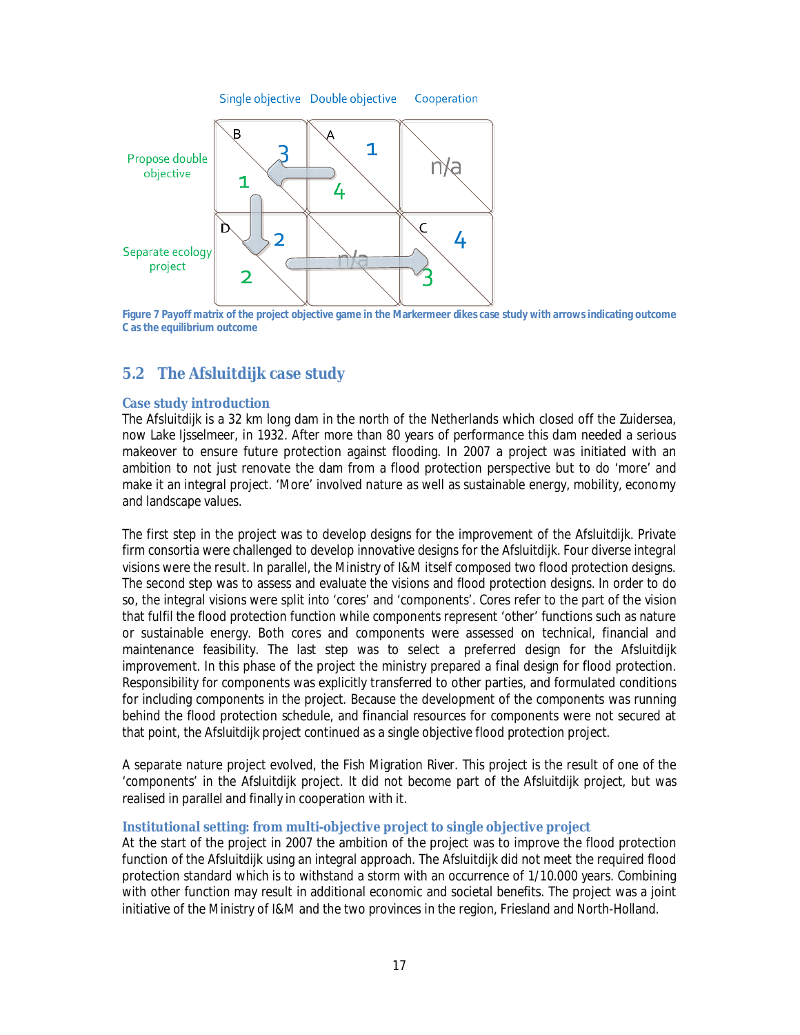



**Figure 7 Payoff matrix of the project objective game in the Markermeer dikes case study with arrows indicating outcome C as the equilibrium outcome**

## **5.2 The Afsluitdijk case study**

### **Case study introduction**

The Afsluitdijk is a 32 km long dam in the north of the Netherlands which closed off the Zuidersea, now Lake Ijsselmeer, in 1932. After more than 80 years of performance this dam needed a serious makeover to ensure future protection against flooding. In 2007 a project was initiated with an ambition to not just renovate the dam from a flood protection perspective but to do 'more' and make it an integral project. 'More' involved nature as well as sustainable energy, mobility, economy and landscape values.

The first step in the project was to develop designs for the improvement of the Afsluitdijk. Private firm consortia were challenged to develop innovative designs for the Afsluitdijk. Four diverse integral visions were the result. In parallel, the Ministry of I&M itself composed two flood protection designs. The second step was to assess and evaluate the visions and flood protection designs. In order to do so, the integral visions were split into 'cores' and 'components'. Cores refer to the part of the vision that fulfil the flood protection function while components represent 'other' functions such as nature or sustainable energy. Both cores and components were assessed on technical, financial and maintenance feasibility. The last step was to select a preferred design for the Afsluitdijk improvement. In this phase of the project the ministry prepared a final design for flood protection. Responsibility for components was explicitly transferred to other parties, and formulated conditions for including components in the project. Because the development of the components was running behind the flood protection schedule, and financial resources for components were not secured at that point, the Afsluitdijk project continued as a single objective flood protection project.

A separate nature project evolved, the Fish Migration River. This project is the result of one of the 'components' in the Afsluitdijk project. It did not become part of the Afsluitdijk project, but was realised in parallel and finally in cooperation with it.

#### **Institutional setting: from multi-objective project to single objective project**

At the start of the project in 2007 the ambition of the project was to improve the flood protection function of the Afsluitdijk using an integral approach. The Afsluitdijk did not meet the required flood protection standard which is to withstand a storm with an occurrence of 1/10.000 years. Combining with other function may result in additional economic and societal benefits. The project was a joint initiative of the Ministry of I&M and the two provinces in the region, Friesland and North-Holland.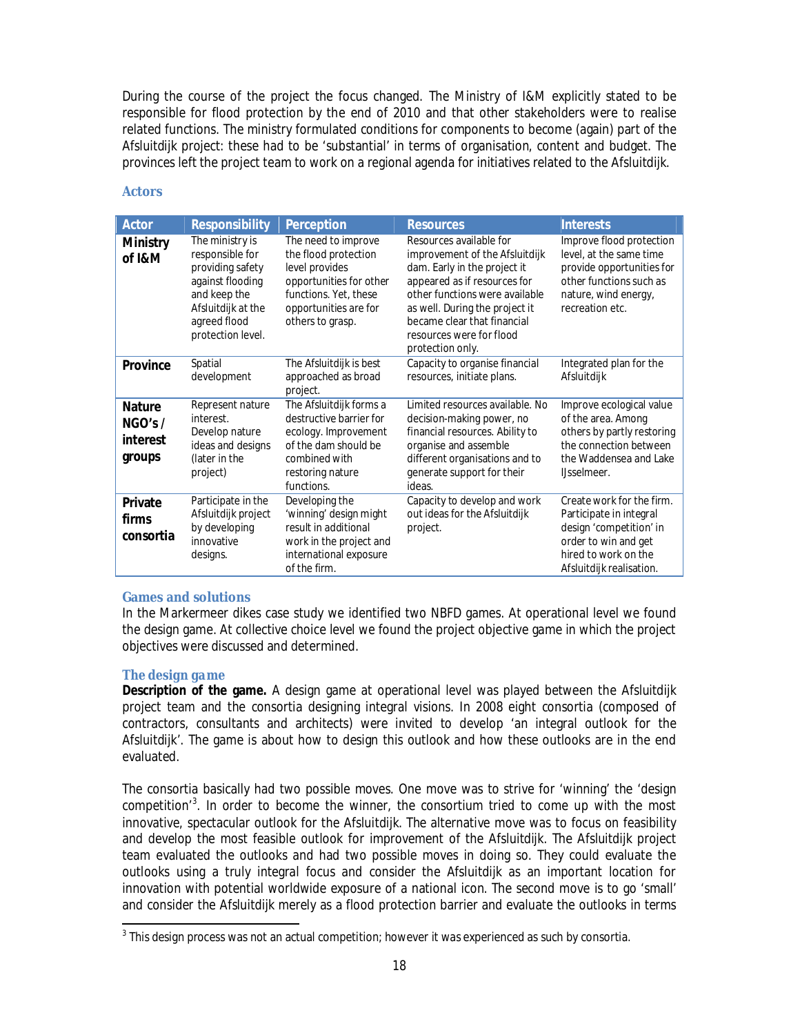During the course of the project the focus changed. The Ministry of I&M explicitly stated to be responsible for flood protection by the end of 2010 and that other stakeholders were to realise related functions. The ministry formulated conditions for components to become (again) part of the Afsluitdijk project: these had to be 'substantial' in terms of organisation, content and budget. The provinces left the project team to work on a regional agenda for initiatives related to the Afsluitdijk.

| Actor                                         | Responsibility                                                                                                                                        | Perception                                                                                                                                                     | <b>Resources</b>                                                                                                                                                                                                                                                             | <b>Interests</b>                                                                                                                                            |
|-----------------------------------------------|-------------------------------------------------------------------------------------------------------------------------------------------------------|----------------------------------------------------------------------------------------------------------------------------------------------------------------|------------------------------------------------------------------------------------------------------------------------------------------------------------------------------------------------------------------------------------------------------------------------------|-------------------------------------------------------------------------------------------------------------------------------------------------------------|
| Ministry<br>of I&M                            | The ministry is<br>responsible for<br>providing safety<br>against flooding<br>and keep the<br>Afsluitdijk at the<br>agreed flood<br>protection level. | The need to improve<br>the flood protection<br>level provides<br>opportunities for other<br>functions. Yet, these<br>opportunities are for<br>others to grasp. | Resources available for<br>improvement of the Afsluitdijk<br>dam. Early in the project it<br>appeared as if resources for<br>other functions were available<br>as well. During the project it<br>became clear that financial<br>resources were for flood<br>protection only. | Improve flood protection<br>level, at the same time<br>provide opportunities for<br>other functions such as<br>nature, wind energy,<br>recreation etc.      |
| Province                                      | Spatial<br>development                                                                                                                                | The Afsluitdijk is best<br>approached as broad<br>project.                                                                                                     | Capacity to organise financial<br>resources, initiate plans.                                                                                                                                                                                                                 | Integrated plan for the<br>Afsluitdijk                                                                                                                      |
| <b>Nature</b><br>NGO's/<br>interest<br>groups | Represent nature<br>interest.<br>Develop nature<br>ideas and designs<br>(later in the<br>project)                                                     | The Afsluitdijk forms a<br>destructive barrier for<br>ecology. Improvement<br>of the dam should be<br>combined with<br>restoring nature<br>functions.          | Limited resources available. No<br>decision-making power, no<br>financial resources. Ability to<br>organise and assemble<br>different organisations and to<br>generate support for their<br>ideas.                                                                           | Improve ecological value<br>of the area. Among<br>others by partly restoring<br>the connection between<br>the Waddensea and Lake<br>IJsselmeer.             |
| Private<br>firms<br>consortia                 | Participate in the<br>Afsluitdijk project<br>by developing<br>innovative<br>designs.                                                                  | Developing the<br>'winning' design might<br>result in additional<br>work in the project and<br>international exposure<br>of the firm.                          | Capacity to develop and work<br>out ideas for the Afsluitdijk<br>project.                                                                                                                                                                                                    | Create work for the firm.<br>Participate in integral<br>design 'competition' in<br>order to win and get<br>hired to work on the<br>Afsluitdijk realisation. |

### **Actors**

### **Games and solutions**

In the Markermeer dikes case study we identified two NBFD games. At operational level we found the design game. At collective choice level we found the project objective game in which the project objectives were discussed and determined.

### *The design game*

**Description of the game.** A design game at operational level was played between the Afsluitdijk project team and the consortia designing integral visions. In 2008 eight consortia (composed of contractors, consultants and architects) were invited to develop 'an integral outlook for the Afsluitdijk'. The game is about how to design this outlook and how these outlooks are in the end evaluated.

The consortia basically had two possible moves. One move was to strive for 'winning' the 'design competition<sup>3</sup>. In order to become the winner, the consortium tried to come up with the most innovative, spectacular outlook for the Afsluitdijk. The alternative move was to focus on feasibility and develop the most feasible outlook for improvement of the Afsluitdijk. The Afsluitdijk project team evaluated the outlooks and had two possible moves in doing so. They could evaluate the outlooks using a truly integral focus and consider the Afsluitdijk as an important location for innovation with potential worldwide exposure of a national icon. The second move is to go 'small' and consider the Afsluitdijk merely as a flood protection barrier and evaluate the outlooks in terms

 $^{\rm 3}$  This design process was not an actual competition; however it was experienced as such by consortia.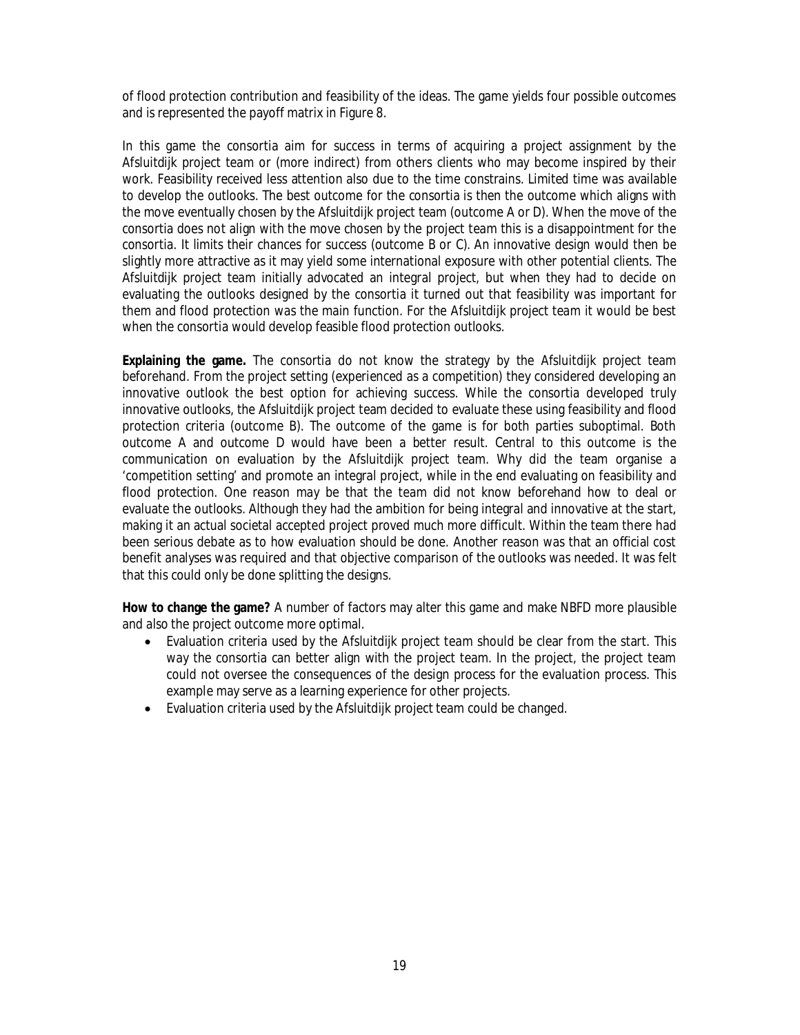of flood protection contribution and feasibility of the ideas. The game yields four possible outcomes and is represented the payoff matrix in Figure 8.

In this game the consortia aim for success in terms of acquiring a project assignment by the Afsluitdijk project team or (more indirect) from others clients who may become inspired by their work. Feasibility received less attention also due to the time constrains. Limited time was available to develop the outlooks. The best outcome for the consortia is then the outcome which aligns with the move eventually chosen by the Afsluitdijk project team (outcome A or D). When the move of the consortia does not align with the move chosen by the project team this is a disappointment for the consortia. It limits their chances for success (outcome B or C). An innovative design would then be slightly more attractive as it may yield some international exposure with other potential clients. The Afsluitdijk project team initially advocated an integral project, but when they had to decide on evaluating the outlooks designed by the consortia it turned out that feasibility was important for them and flood protection was the main function. For the Afsluitdijk project team it would be best when the consortia would develop feasible flood protection outlooks.

**Explaining the game.** The consortia do not know the strategy by the Afsluitdijk project team beforehand. From the project setting (experienced as a competition) they considered developing an innovative outlook the best option for achieving success. While the consortia developed truly innovative outlooks, the Afsluitdijk project team decided to evaluate these using feasibility and flood protection criteria (outcome B). The outcome of the game is for both parties suboptimal. Both outcome A and outcome D would have been a better result. Central to this outcome is the communication on evaluation by the Afsluitdijk project team. Why did the team organise a 'competition setting' and promote an integral project, while in the end evaluating on feasibility and flood protection. One reason may be that the team did not know beforehand how to deal or evaluate the outlooks. Although they had the ambition for being integral and innovative at the start, making it an actual societal accepted project proved much more difficult. Within the team there had been serious debate as to how evaluation should be done. Another reason was that an official cost benefit analyses was required and that objective comparison of the outlooks was needed. It was felt that this could only be done splitting the designs.

**How to change the game?** A number of factors may alter this game and make NBFD more plausible and also the project outcome more optimal.

- Evaluation criteria used by the Afsluitdijk project team should be clear from the start. This way the consortia can better align with the project team. In the project, the project team could not oversee the consequences of the design process for the evaluation process. This example may serve as a learning experience for other projects.
- Evaluation criteria used by the Afsluitdijk project team could be changed.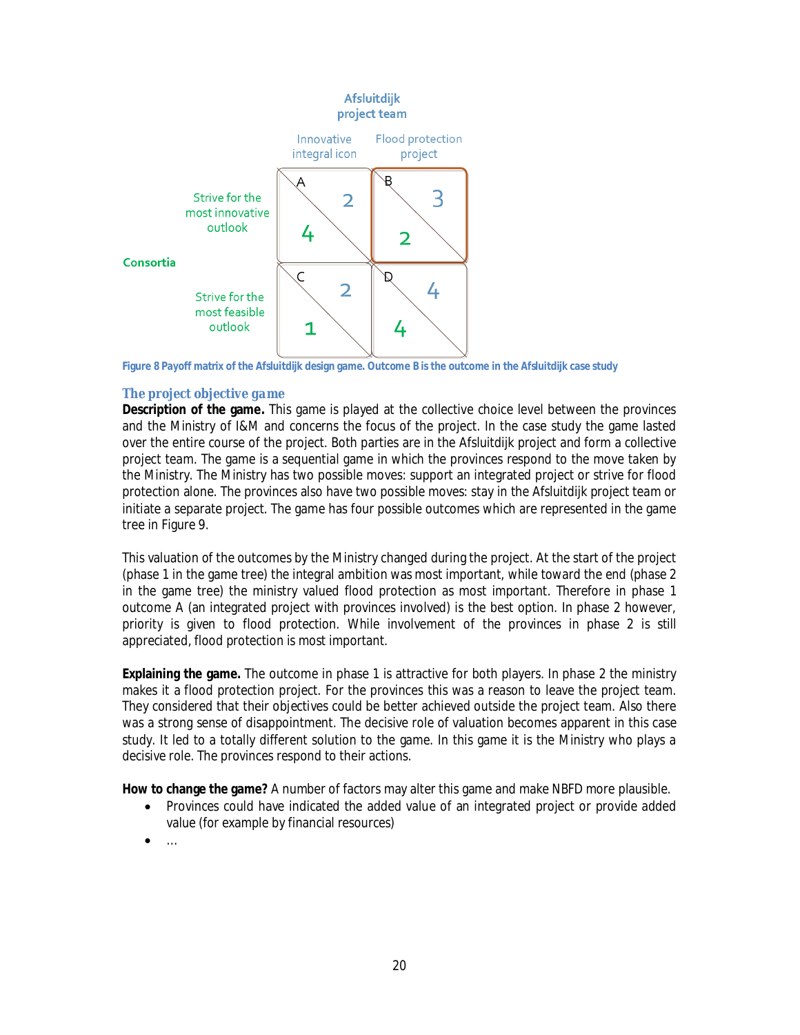

**Figure 8 Payoff matrix of the Afsluitdijk design game. Outcome B is the outcome in the Afsluitdijk case study**

#### *The project objective game*

**Description of the game.** This game is played at the collective choice level between the provinces and the Ministry of I&M and concerns the focus of the project. In the case study the game lasted over the entire course of the project. Both parties are in the Afsluitdijk project and form a collective project team. The game is a sequential game in which the provinces respond to the move taken by the Ministry. The Ministry has two possible moves: support an integrated project or strive for flood protection alone. The provinces also have two possible moves: stay in the Afsluitdijk project team or initiate a separate project. The game has four possible outcomes which are represented in the game tree in Figure 9.

This valuation of the outcomes by the Ministry changed during the project. At the start of the project (phase 1 in the game tree) the integral ambition was most important, while toward the end (phase 2 in the game tree) the ministry valued flood protection as most important. Therefore in phase 1 outcome A (an integrated project with provinces involved) is the best option. In phase 2 however, priority is given to flood protection. While involvement of the provinces in phase 2 is still appreciated, flood protection is most important.

**Explaining the game.** The outcome in phase 1 is attractive for both players. In phase 2 the ministry makes it a flood protection project. For the provinces this was a reason to leave the project team. They considered that their objectives could be better achieved outside the project team. Also there was a strong sense of disappointment. The decisive role of valuation becomes apparent in this case study. It led to a totally different solution to the game. In this game it is the Ministry who plays a decisive role. The provinces respond to their actions.

**How to change the game?** A number of factors may alter this game and make NBFD more plausible.

- Provinces could have indicated the added value of an integrated project or provide added value (for example by financial resources)
- $\dots$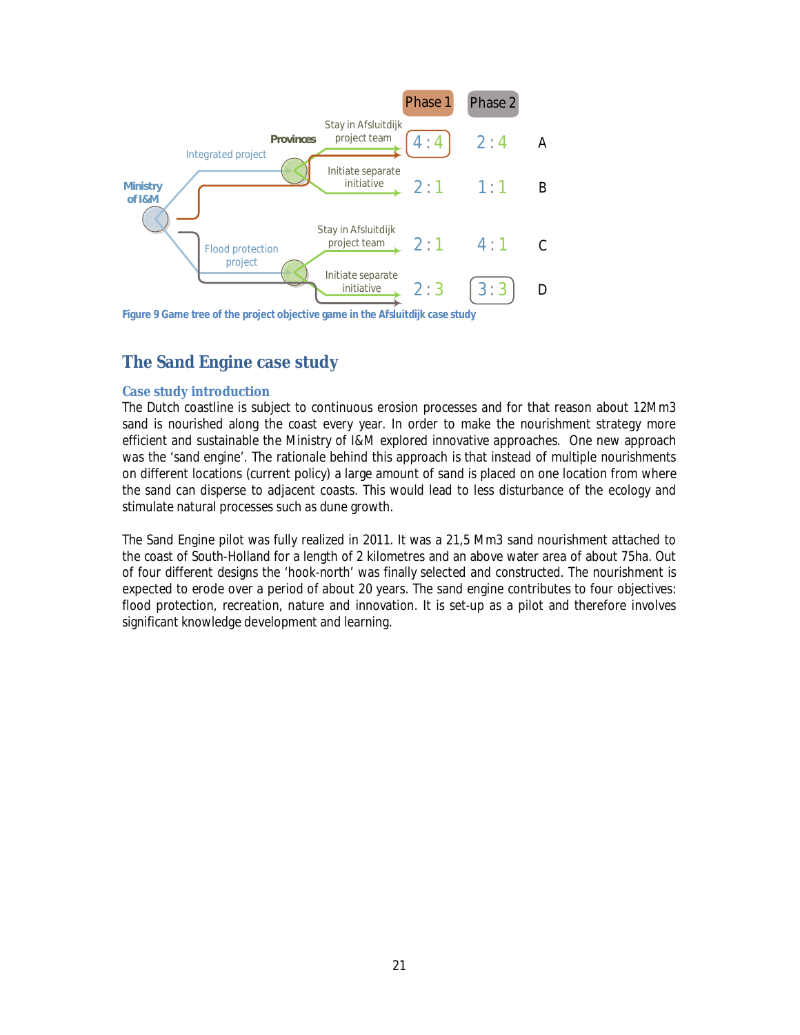

**Figure 9 Game tree of the project objective game in the Afsluitdijk case study**

# **The Sand Engine case study**

#### **Case study introduction**

The Dutch coastline is subject to continuous erosion processes and for that reason about 12Mm3 sand is nourished along the coast every year. In order to make the nourishment strategy more efficient and sustainable the Ministry of I&M explored innovative approaches. One new approach was the 'sand engine'. The rationale behind this approach is that instead of multiple nourishments on different locations (current policy) a large amount of sand is placed on one location from where the sand can disperse to adjacent coasts. This would lead to less disturbance of the ecology and stimulate natural processes such as dune growth.

The Sand Engine pilot was fully realized in 2011. It was a 21,5 Mm3 sand nourishment attached to the coast of South-Holland for a length of 2 kilometres and an above water area of about 75ha. Out of four different designs the 'hook-north' was finally selected and constructed. The nourishment is expected to erode over a period of about 20 years. The sand engine contributes to four objectives: flood protection, recreation, nature and innovation. It is set-up as a pilot and therefore involves significant knowledge development and learning.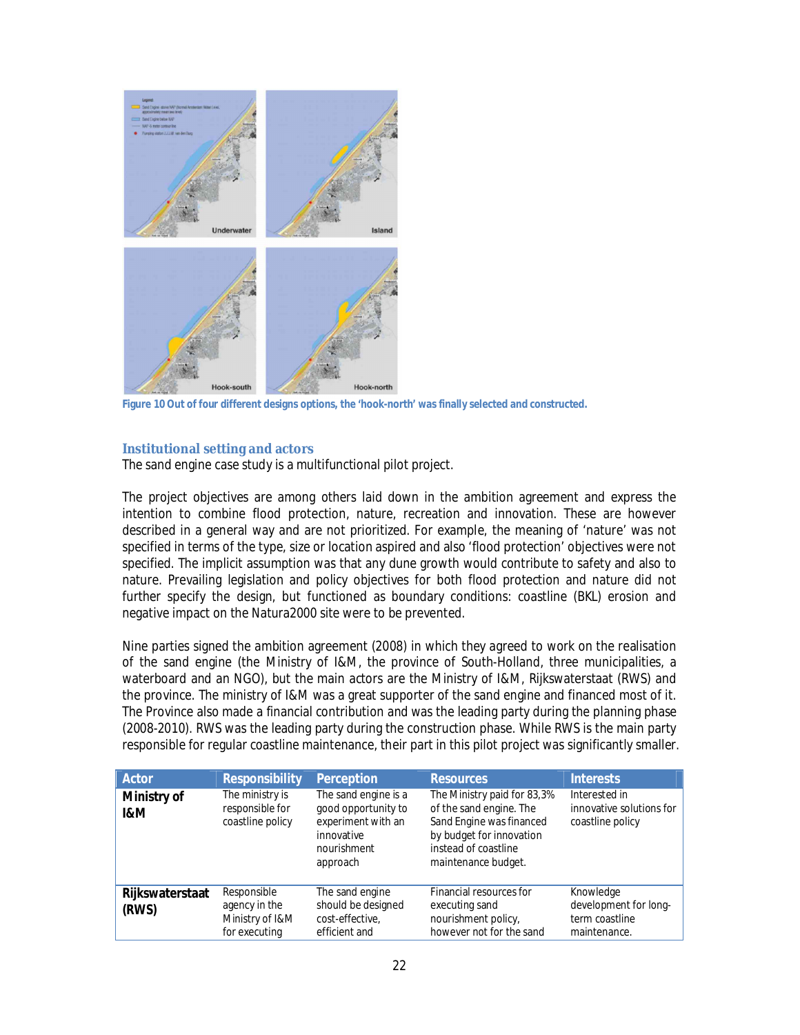

**Figure 10 Out of four different designs options, the 'hook-north' was finally selected and constructed.**

#### **Institutional setting and actors**

The sand engine case study is a multifunctional pilot project.

The project objectives are among others laid down in the ambition agreement and express the intention to combine flood protection, nature, recreation and innovation. These are however described in a general way and are not prioritized. For example, the meaning of 'nature' was not specified in terms of the type, size or location aspired and also 'flood protection' objectives were not specified. The implicit assumption was that any dune growth would contribute to safety and also to nature. Prevailing legislation and policy objectives for both flood protection and nature did not further specify the design, but functioned as boundary conditions: coastline (BKL) erosion and negative impact on the Natura2000 site were to be prevented.

Nine parties signed the ambition agreement (2008) in which they agreed to work on the realisation of the sand engine (the Ministry of I&M, the province of South-Holland, three municipalities, a waterboard and an NGO), but the main actors are the Ministry of I&M, Rijkswaterstaat (RWS) and the province. The ministry of I&M was a great supporter of the sand engine and financed most of it. The Province also made a financial contribution and was the leading party during the planning phase (2008-2010). RWS was the leading party during the construction phase. While RWS is the main party responsible for regular coastline maintenance, their part in this pilot project was significantly smaller.

| Actor                    | Responsibility                                                   | Perception                                                                                                 | <b>Resources</b>                                                                                                                                              | <b>Interests</b>                                                     |
|--------------------------|------------------------------------------------------------------|------------------------------------------------------------------------------------------------------------|---------------------------------------------------------------------------------------------------------------------------------------------------------------|----------------------------------------------------------------------|
| Ministry of<br>1&M       | The ministry is<br>responsible for<br>coastline policy           | The sand engine is a<br>good opportunity to<br>experiment with an<br>innovative<br>nourishment<br>approach | The Ministry paid for 83,3%<br>of the sand engine. The<br>Sand Engine was financed<br>by budget for innovation<br>instead of coastline<br>maintenance budget. | Interested in<br>innovative solutions for<br>coastline policy        |
| Rijkswaterstaat<br>(RWS) | Responsible<br>agency in the<br>Ministry of I&M<br>for executing | The sand engine<br>should be designed<br>cost-effective.<br>efficient and                                  | Financial resources for<br>executing sand<br>nourishment policy,<br>however not for the sand                                                                  | Knowledge<br>development for long-<br>term coastline<br>maintenance. |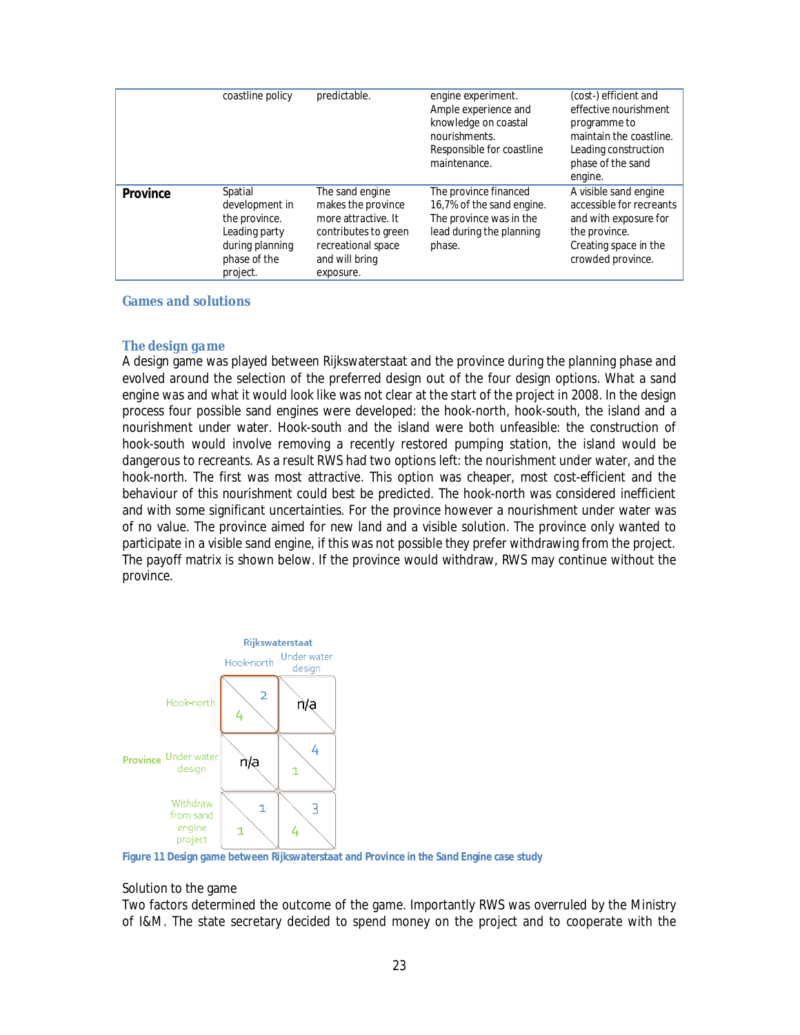|          | coastline policy                                                                                           | predictable.                                                                                                                              | engine experiment.<br>Ample experience and<br>knowledge on coastal<br>nourishments.<br>Responsible for coastline<br>maintenance. | (cost-) efficient and<br>effective nourishment<br>programme to<br>maintain the coastline.<br>Leading construction<br>phase of the sand<br>engine. |
|----------|------------------------------------------------------------------------------------------------------------|-------------------------------------------------------------------------------------------------------------------------------------------|----------------------------------------------------------------------------------------------------------------------------------|---------------------------------------------------------------------------------------------------------------------------------------------------|
| Province | Spatial<br>development in<br>the province.<br>Leading party<br>during planning<br>phase of the<br>project. | The sand engine<br>makes the province<br>more attractive. It<br>contributes to green<br>recreational space<br>and will bring<br>exposure. | The province financed<br>16,7% of the sand engine.<br>The province was in the<br>lead during the planning<br>phase.              | A visible sand engine<br>accessible for recreants<br>and with exposure for<br>the province.<br>Creating space in the<br>crowded province.         |

#### **Games and solutions**

#### *The design game*

A design game was played between Rijkswaterstaat and the province during the planning phase and evolved around the selection of the preferred design out of the four design options. What a sand engine was and what it would look like was not clear at the start of the project in 2008. In the design process four possible sand engines were developed: the hook-north, hook-south, the island and a nourishment under water. Hook-south and the island were both unfeasible: the construction of hook-south would involve removing a recently restored pumping station, the island would be dangerous to recreants. As a result RWS had two options left: the nourishment under water, and the hook-north. The first was most attractive. This option was cheaper, most cost-efficient and the behaviour of this nourishment could best be predicted. The hook-north was considered inefficient and with some significant uncertainties. For the province however a nourishment under water was of no value. The province aimed for new land and a visible solution. The province only wanted to participate in a visible sand engine, if this was not possible they prefer withdrawing from the project. The payoff matrix is shown below. If the province would withdraw, RWS may continue without the province.



**Figure 11 Design game between Rijkswaterstaat and Province in the Sand Engine case study**

#### Solution to the game

Two factors determined the outcome of the game. Importantly RWS was overruled by the Ministry of I&M. The state secretary decided to spend money on the project and to cooperate with the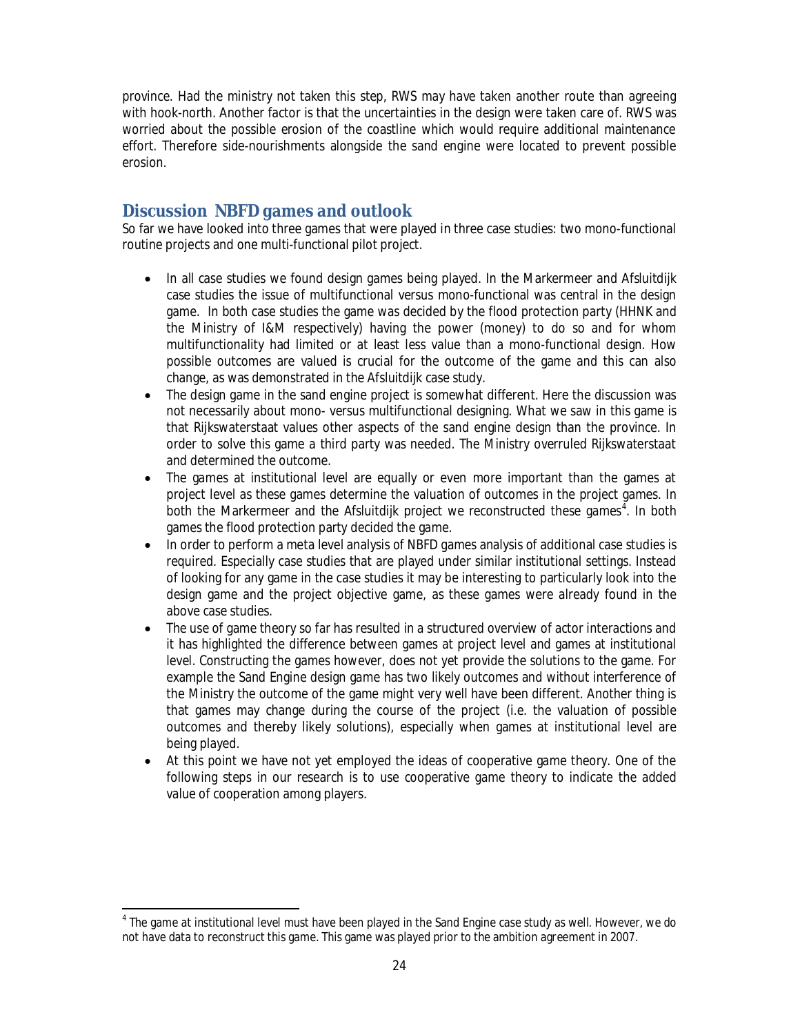province. Had the ministry not taken this step, RWS may have taken another route than agreeing with hook-north. Another factor is that the uncertainties in the design were taken care of. RWS was worried about the possible erosion of the coastline which would require additional maintenance effort. Therefore side-nourishments alongside the sand engine were located to prevent possible erosion.

# **DiscussionNBFD games and outlook**

So far we have looked into three games that were played in three case studies: two mono-functional routine projects and one multi-functional pilot project.

- In all case studies we found design games being played. In the Markermeer and Afsluitdijk case studies the issue of multifunctional versus mono-functional was central in the design game. In both case studies the game was decided by the flood protection party (HHNK and the Ministry of I&M respectively) having the power (money) to do so and for whom multifunctionality had limited or at least less value than a mono-functional design. How possible outcomes are valued is crucial for the outcome of the game and this can also change, as was demonstrated in the Afsluitdijk case study.
- The design game in the sand engine project is somewhat different. Here the discussion was not necessarily about mono- versus multifunctional designing. What we saw in this game is that Rijkswaterstaat values other aspects of the sand engine design than the province. In order to solve this game a third party was needed. The Ministry overruled Rijkswaterstaat and determined the outcome.
- The games at institutional level are equally or even more important than the games at project level as these games determine the valuation of outcomes in the project games. In both the Markermeer and the Afsluitdijk project we reconstructed these games<sup>4</sup>. In both games the flood protection party decided the game.
- In order to perform a meta level analysis of NBFD games analysis of additional case studies is required. Especially case studies that are played under similar institutional settings. Instead of looking for any game in the case studies it may be interesting to particularly look into the design game and the project objective game, as these games were already found in the above case studies.
- The use of game theory so far has resulted in a structured overview of actor interactions and it has highlighted the difference between games at project level and games at institutional level. Constructing the games however, does not yet provide the solutions to the game. For example the Sand Engine design game has two likely outcomes and without interference of the Ministry the outcome of the game might very well have been different. Another thing is that games may change during the course of the project (i.e. the valuation of possible outcomes and thereby likely solutions), especially when games at institutional level are being played.
- At this point we have not yet employed the ideas of cooperative game theory. One of the following steps in our research is to use cooperative game theory to indicate the added value of cooperation among players.

<sup>&</sup>lt;sup>4</sup> The game at institutional level must have been played in the Sand Engine case study as well. However, we do not have data to reconstruct this game. This game was played prior to the ambition agreement in 2007.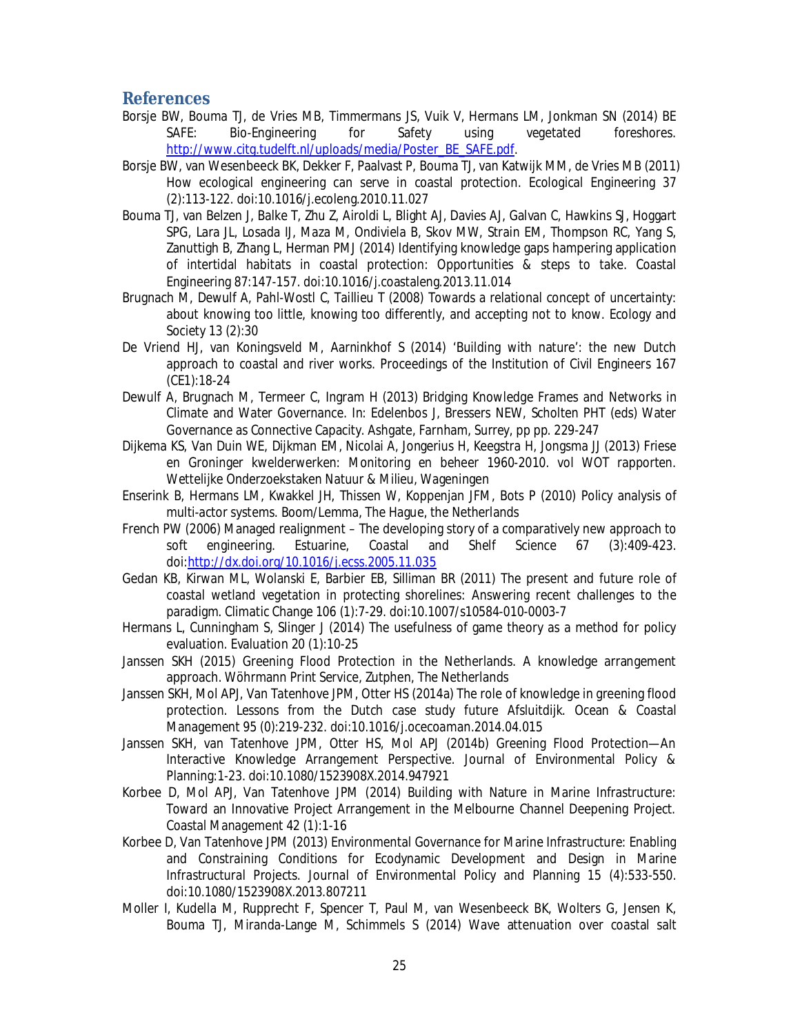### **References**

- Borsje BW, Bouma TJ, de Vries MB, Timmermans JS, Vuik V, Hermans LM, Jonkman SN (2014) BE SAFE: Bio-Engineering for Safety using vegetated foreshores. http://www.citg.tudelft.nl/uploads/media/Poster\_BE\_SAFE.pdf.
- Borsje BW, van Wesenbeeck BK, Dekker F, Paalvast P, Bouma TJ, van Katwijk MM, de Vries MB (2011) How ecological engineering can serve in coastal protection. Ecological Engineering 37 (2):113-122. doi:10.1016/j.ecoleng.2010.11.027
- Bouma TJ, van Belzen J, Balke T, Zhu Z, Airoldi L, Blight AJ, Davies AJ, Galvan C, Hawkins SJ, Hoggart SPG, Lara JL, Losada IJ, Maza M, Ondiviela B, Skov MW, Strain EM, Thompson RC, Yang S, Zanuttigh B, Zhang L, Herman PMJ (2014) Identifying knowledge gaps hampering application of intertidal habitats in coastal protection: Opportunities & steps to take. Coastal Engineering 87:147-157. doi:10.1016/j.coastaleng.2013.11.014
- Brugnach M, Dewulf A, Pahl-Wostl C, Taillieu T (2008) Towards a relational concept of uncertainty: about knowing too little, knowing too differently, and accepting not to know. Ecology and Society 13 (2):30
- De Vriend HJ, van Koningsveld M, Aarninkhof S (2014) 'Building with nature': the new Dutch approach to coastal and river works. Proceedings of the Institution of Civil Engineers 167 (CE1):18-24
- Dewulf A, Brugnach M, Termeer C, Ingram H (2013) Bridging Knowledge Frames and Networks in Climate and Water Governance. In: Edelenbos J, Bressers NEW, Scholten PHT (eds) Water Governance as Connective Capacity. Ashgate, Farnham, Surrey, pp pp. 229-247
- Dijkema KS, Van Duin WE, Dijkman EM, Nicolai A, Jongerius H, Keegstra H, Jongsma JJ (2013) Friese en Groninger kwelderwerken: Monitoring en beheer 1960-2010. vol WOT rapporten. Wettelijke Onderzoekstaken Natuur & Milieu, Wageningen
- Enserink B, Hermans LM, Kwakkel JH, Thissen W, Koppenjan JFM, Bots P (2010) Policy analysis of multi-actor systems. Boom/Lemma, The Hague, the Netherlands
- French PW (2006) Managed realignment The developing story of a comparatively new approach to soft engineering. Estuarine, Coastal and Shelf Science 67 (3):409-423. doi:http://dx.doi.org/10.1016/j.ecss.2005.11.035
- Gedan KB, Kirwan ML, Wolanski E, Barbier EB, Silliman BR (2011) The present and future role of coastal wetland vegetation in protecting shorelines: Answering recent challenges to the paradigm. Climatic Change 106 (1):7-29. doi:10.1007/s10584-010-0003-7
- Hermans L, Cunningham S, Slinger J (2014) The usefulness of game theory as a method for policy evaluation. Evaluation 20 (1):10-25
- Janssen SKH (2015) Greening Flood Protection in the Netherlands. A knowledge arrangement approach. Wöhrmann Print Service, Zutphen, The Netherlands
- Janssen SKH, Mol APJ, Van Tatenhove JPM, Otter HS (2014a) The role of knowledge in greening flood protection. Lessons from the Dutch case study future Afsluitdijk. Ocean & Coastal Management 95 (0):219-232. doi:10.1016/j.ocecoaman.2014.04.015
- Janssen SKH, van Tatenhove JPM, Otter HS, Mol APJ (2014b) Greening Flood Protection—An Interactive Knowledge Arrangement Perspective. Journal of Environmental Policy & Planning:1-23. doi:10.1080/1523908X.2014.947921
- Korbee D, Mol APJ, Van Tatenhove JPM (2014) Building with Nature in Marine Infrastructure: Toward an Innovative Project Arrangement in the Melbourne Channel Deepening Project. Coastal Management 42 (1):1-16
- Korbee D, Van Tatenhove JPM (2013) Environmental Governance for Marine Infrastructure: Enabling and Constraining Conditions for Ecodynamic Development and Design in Marine Infrastructural Projects. Journal of Environmental Policy and Planning 15 (4):533-550. doi:10.1080/1523908X.2013.807211
- Moller I, Kudella M, Rupprecht F, Spencer T, Paul M, van Wesenbeeck BK, Wolters G, Jensen K, Bouma TJ, Miranda-Lange M, Schimmels S (2014) Wave attenuation over coastal salt